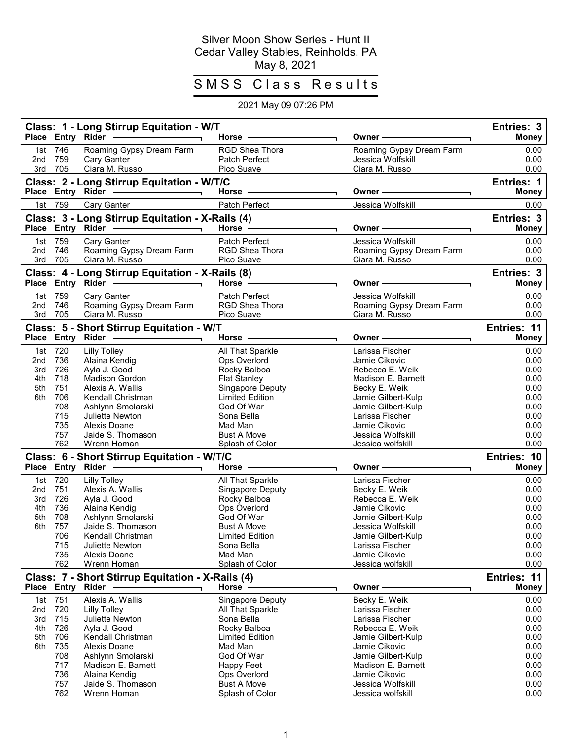## Silver Moon Show Series - Hunt II Cedar Valley Stables, Reinholds, PA May 8, 2021

## SMSS Class Results

## 2021 May 09 07:26 PM

|            |                   | Class: 1 - Long Stirrup Equitation - W/T<br>Place Entry Rider - | Horse -                        | Owner -                             | Entries: 3<br><b>Money</b>  |
|------------|-------------------|-----------------------------------------------------------------|--------------------------------|-------------------------------------|-----------------------------|
|            |                   |                                                                 |                                |                                     |                             |
|            | 1st 746           | Roaming Gypsy Dream Farm                                        | RGD Shea Thora                 | Roaming Gypsy Dream Farm            | 0.00                        |
| 2nd        | 759               | Cary Ganter                                                     | Patch Perfect                  | Jessica Wolfskill<br>Ciara M. Russo | 0.00                        |
|            | 3rd 705           | Ciara M. Russo                                                  | Pico Suave                     |                                     | 0.00                        |
|            |                   | Class: 2 - Long Stirrup Equitation - W/T/C                      |                                |                                     | <b>Entries: 1</b>           |
|            |                   | Place Entry Rider ————————————————————                          | Horse -                        | Owner-                              | Money                       |
|            | 1st 759           | Cary Ganter                                                     | Patch Perfect                  | Jessica Wolfskill                   | 0.00                        |
|            |                   | Class: 3 - Long Stirrup Equitation - X-Rails (4)                |                                |                                     | Entries: 3                  |
|            |                   | Place Entry Rider - Andrew Place                                | Horse $-$                      | Owner -                             | <b>Money</b>                |
|            | 1st 759           | Cary Ganter                                                     | <b>Patch Perfect</b>           | Jessica Wolfskill                   | 0.00                        |
| 2nd        | 746               | Roaming Gypsy Dream Farm                                        | <b>RGD Shea Thora</b>          | Roaming Gypsy Dream Farm            | 0.00                        |
|            | 3rd 705           | Ciara M. Russo                                                  | Pico Suave                     | Ciara M. Russo                      | 0.00                        |
|            |                   | Class: 4 - Long Stirrup Equitation - X-Rails (8)                |                                |                                     | <b>Entries: 3</b>           |
|            |                   |                                                                 | Horse $-$                      | Owner -                             | Money                       |
|            | 1st 759           | Cary Ganter                                                     | Patch Perfect                  | Jessica Wolfskill                   | 0.00                        |
| 2nd        | 746               | Roaming Gypsy Dream Farm                                        | RGD Shea Thora                 | Roaming Gypsy Dream Farm            | 0.00                        |
|            | 3rd 705           | Ciara M. Russo                                                  | Pico Suave                     | Ciara M. Russo                      | 0.00                        |
|            |                   | Class: 5 - Short Stirrup Equitation - W/T                       |                                |                                     | Entries: 11                 |
|            |                   | Place Entry Rider ------                                        | Horse -                        | Owner -                             | <b>Money</b>                |
|            | 1st 720           | <b>Lilly Tolley</b>                                             | All That Sparkle               | Larissa Fischer                     | 0.00                        |
| 2nd        | 736               | Alaina Kendig                                                   | Ops Overlord                   | Jamie Cikovic                       | 0.00                        |
| 3rd        | 726               | Ayla J. Good                                                    | Rocky Balboa                   | Rebecca E. Weik                     | 0.00                        |
| 4th        | 718               | <b>Madison Gordon</b>                                           | <b>Flat Stanley</b>            | Madison E. Barnett                  | 0.00                        |
| 5th        | 751               | Alexis A. Wallis                                                | Singapore Deputy               | Becky E. Weik                       | 0.00                        |
| 6th        | 706               | Kendall Christman                                               | <b>Limited Edition</b>         | Jamie Gilbert-Kulp                  | 0.00                        |
|            | 708               | Ashlynn Smolarski                                               | God Of War                     | Jamie Gilbert-Kulp                  | 0.00                        |
|            | 715               | <b>Juliette Newton</b>                                          | Sona Bella                     | Larissa Fischer                     | 0.00                        |
|            | 735               | Alexis Doane                                                    | Mad Man                        | Jamie Cikovic                       | 0.00                        |
|            | 757               | Jaide S. Thomason                                               | <b>Bust A Move</b>             | Jessica Wolfskill                   | 0.00                        |
|            | 762               | Wrenn Homan                                                     | Splash of Color                | Jessica wolfskill                   | 0.00                        |
|            |                   | Class: 6 - Short Stirrup Equitation - W/T/C                     |                                |                                     | Entries: 10                 |
|            |                   | Place Entry Rider -                                             | Horse $-$                      | Owner –                             | <b>Money</b>                |
|            | 1st 720           | <b>Lilly Tolley</b>                                             | All That Sparkle               | Larissa Fischer                     | 0.00                        |
| 2nd        | 751               | Alexis A. Wallis                                                | Singapore Deputy               | Becky E. Weik                       | 0.00                        |
| 3rd        | 726               | Ayla J. Good                                                    | Rocky Balboa                   | Rebecca E. Weik                     | 0.00                        |
| 4th        | 736               | Alaina Kendig                                                   | Ops Overlord                   | Jamie Cikovic                       | 0.00                        |
| 5th        | 708               | Ashlynn Smolarski                                               | God Of War                     | Jamie Gilbert-Kulp                  | 0.00                        |
| 6th        | 757               | Jaide S. Thomason                                               | <b>Bust A Move</b>             | Jessica Wolfskill                   | 0.00                        |
|            | 706               | Kendall Christman                                               | <b>Limited Edition</b>         | Jamie Gilbert-Kulp                  | 0.00                        |
|            | 715               | <b>Juliette Newton</b>                                          | Sona Bella                     | Larissa Fischer                     | 0.00                        |
|            | 735<br>762        | Alexis Doane<br>Wrenn Homan                                     | Mad Man<br>Splash of Color     | Jamie Cikovic<br>Jessica wolfskill  | 0.00<br>0.00                |
|            |                   |                                                                 |                                |                                     |                             |
|            | Place Entry Rider | Class: 7 - Short Stirrup Equitation - X-Rails (4)               | Horse $-$                      | Owner -                             | Entries: 11<br><b>Money</b> |
|            |                   |                                                                 |                                |                                     |                             |
| 1st        | 751               | Alexis A. Wallis                                                | Singapore Deputy               | Becky E. Weik                       | 0.00                        |
| 2nd<br>3rd | 720<br>715        | <b>Lilly Tolley</b>                                             | All That Sparkle<br>Sona Bella | Larissa Fischer<br>Larissa Fischer  | 0.00                        |
| 4th        | 726               | Juliette Newton<br>Avla J. Good                                 | Rocky Balboa                   | Rebecca E. Weik                     | 0.00<br>0.00                |
| 5th        | 706               | Kendall Christman                                               | <b>Limited Edition</b>         | Jamie Gilbert-Kulp                  | 0.00                        |
| 6th        | 735               | Alexis Doane                                                    | Mad Man                        | Jamie Cikovic                       | 0.00                        |
|            | 708               | Ashlynn Smolarski                                               | God Of War                     | Jamie Gilbert-Kulp                  | 0.00                        |
|            | 717               | Madison E. Barnett                                              | Happy Feet                     | Madison E. Barnett                  | 0.00                        |
|            | 736               | Alaina Kendig                                                   | Ops Overlord                   | Jamie Cikovic                       | 0.00                        |
|            | 757               | Jaide S. Thomason                                               | <b>Bust A Move</b>             | Jessica Wolfskill                   | 0.00                        |
|            | 762               | Wrenn Homan                                                     | Splash of Color                | Jessica wolfskill                   | 0.00                        |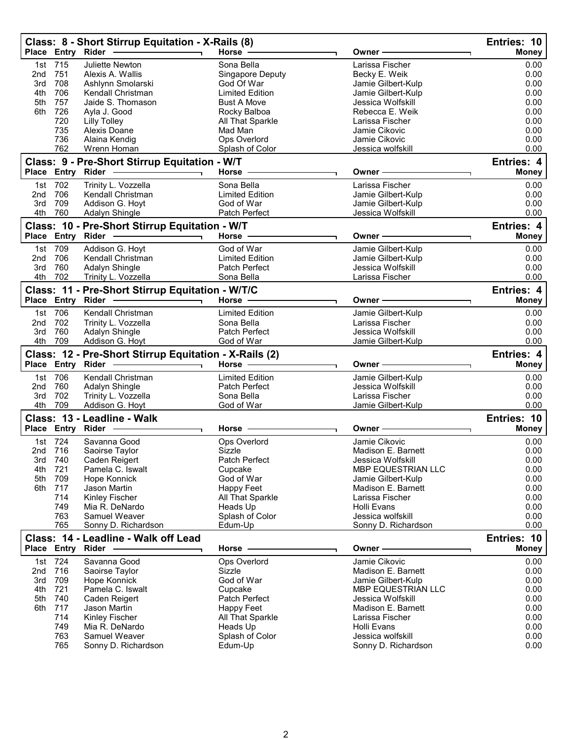| 715<br>Juliette Newton<br>Sona Bella<br>Larissa Fischer<br>1st<br>0.00<br>751<br>0.00<br>Becky E. Weik<br>2nd<br>Alexis A. Wallis<br>Singapore Deputy<br>708<br>Jamie Gilbert-Kulp<br>0.00<br>3rd<br>Ashlynn Smolarski<br>God Of War<br>706<br>4th<br>Kendall Christman<br><b>Limited Edition</b><br>Jamie Gilbert-Kulp<br>0.00<br>757<br>Jaide S. Thomason<br><b>Bust A Move</b><br>Jessica Wolfskill<br>0.00<br>5th<br>726<br>6th<br>Rebecca E. Weik<br>0.00<br>Ayla J. Good<br>Rocky Balboa<br>0.00<br>720<br><b>Lilly Tolley</b><br>All That Sparkle<br>Larissa Fischer<br>735<br>0.00<br>Alexis Doane<br>Mad Man<br>Jamie Cikovic<br>736<br>Alaina Kendig<br>Ops Overlord<br>0.00<br>Jamie Cikovic<br>762<br>0.00<br>Splash of Color<br>Wrenn Homan<br>Jessica wolfskill<br>Class: 9 - Pre-Short Stirrup Equitation - W/T<br>Entries: 4<br>Place Entry Rider<br><b>Horse</b><br><b>Money</b><br>Owner -<br>1st 702<br>Trinity L. Vozzella<br>Sona Bella<br>Larissa Fischer<br>0.00<br>706<br>Kendall Christman<br><b>Limited Edition</b><br>Jamie Gilbert-Kulp<br>0.00<br>2nd<br>709<br>Addison G. Hoyt<br>God of War<br>Jamie Gilbert-Kulp<br>0.00<br>3rd<br>4th<br>760<br>Adalyn Shingle<br>0.00<br>Patch Perfect<br>Jessica Wolfskill<br>Class: 10 - Pre-Short Stirrup Equitation - W/T<br>Entries: 4<br>Place Entry Rider<br>Horse<br><b>Money</b><br>Owner<br>709<br>Addison G. Hoyt<br>God of War<br>Jamie Gilbert-Kulp<br>0.00<br>1st<br>706<br>Kendall Christman<br><b>Limited Edition</b><br>Jamie Gilbert-Kulp<br>0.00<br>2 <sub>nd</sub><br>760<br>Adalyn Shingle<br>Patch Perfect<br>Jessica Wolfskill<br>0.00<br>3rd<br>702<br>4th<br>Larissa Fischer<br>0.00<br>Trinity L. Vozzella<br>Sona Bella<br>Class: 11 - Pre-Short Stirrup Equitation - W/T/C<br>Entries: 4<br>Place Entry Rider -<br>Horse -<br><b>Money</b><br>Owner -<br>1st 706<br>Kendall Christman<br><b>Limited Edition</b><br>Jamie Gilbert-Kulp<br>0.00<br>702<br>Trinity L. Vozzella<br>Sona Bella<br>Larissa Fischer<br>0.00<br>2 <sub>nd</sub><br>760<br>3rd<br>Adalyn Shingle<br>Patch Perfect<br>Jessica Wolfskill<br>0.00<br>4th<br>709<br>Addison G. Hoyt<br>God of War<br>Jamie Gilbert-Kulp<br>0.00<br>Class: 12 - Pre-Short Stirrup Equitation - X-Rails (2)<br>Entries: 4<br>Horse -<br>Place Entry Rider -<br>Owner –<br>Money<br>1st 706<br>Kendall Christman<br><b>Limited Edition</b><br>Jamie Gilbert-Kulp<br>0.00<br>760<br>0.00<br>2 <sub>nd</sub><br>Adalyn Shingle<br>Patch Perfect<br>Jessica Wolfskill<br>702<br>Larissa Fischer<br>Trinity L. Vozzella<br>Sona Bella<br>0.00<br>3rd<br>709<br>Addison G. Hoyt<br>0.00<br>4th<br>God of War<br>Jamie Gilbert-Kulp<br>Class: 13 - Leadline - Walk<br>Entries: 10<br>Place Entry Rider -<br><b>Money</b><br>Horse ·<br>Owner -<br>1st 724<br>Savanna Good<br>Ops Overlord<br>Jamie Cikovic<br>0.00<br>0.00<br>2nd 716<br>Saoirse Taylor<br>Sizzle<br>Madison E. Barnett<br>740<br>Caden Reigert<br>Patch Perfect<br>Jessica Wolfskill<br>0.00<br>3rd<br>721<br>Pamela C. Iswalt<br>0.00<br>4th<br>MBP EQUESTRIAN LLC<br>Cupcake<br>709<br>0.00<br>5th<br>Hope Konnick<br>God of War<br>Jamie Gilbert-Kulp<br>6th<br>717<br>0.00<br>Jason Martin<br>Happy Feet<br>Madison E. Barnett<br>714<br>Kinley Fischer<br>All That Sparkle<br>Larissa Fischer<br>0.00<br>749<br>0.00<br>Mia R. DeNardo<br>Heads Up<br>Holli Evans<br>763<br>Samuel Weaver<br>Splash of Color<br>Jessica wolfskill<br>0.00<br>765<br>Sonny D. Richardson<br>Edum-Up<br>Sonny D. Richardson<br>0.00<br>Class: 14 - Leadline - Walk off Lead<br>Entries: 10<br>Place Entry Rider<br><b>Money</b><br>Horse<br>Owner -<br>724<br>Jamie Cikovic<br>Savanna Good<br>Ops Overlord<br>0.00<br>1st<br>716<br>Madison E. Barnett<br>0.00<br>2nd<br>Saoirse Taylor<br>Sizzle<br>3rd<br>709<br>Hope Konnick<br>God of War<br>Jamie Gilbert-Kulp<br>0.00<br>721<br>Pamela C. Iswalt<br>0.00<br>4th<br>Cupcake<br><b>MBP EQUESTRIAN LLC</b><br>Patch Perfect<br>5th<br>740<br>Caden Reigert<br>Jessica Wolfskill<br>0.00<br>717<br>0.00<br>6th<br>Jason Martin<br><b>Happy Feet</b><br>Madison E. Barnett<br>714<br>0.00<br>Kinley Fischer<br>All That Sparkle<br>Larissa Fischer<br>749<br>0.00<br>Mia R. DeNardo<br>Heads Up<br>Holli Evans<br>763<br>Splash of Color<br>Jessica wolfskill<br>0.00<br>Samuel Weaver<br>765<br>Edum-Up<br>0.00<br>Sonny D. Richardson<br>Sonny D. Richardson | Place Entry Rider | Class: 8 - Short Stirrup Equitation - X-Rails (8) | Horse - | Owner - | Entries: 10<br><b>Money</b> |
|--------------------------------------------------------------------------------------------------------------------------------------------------------------------------------------------------------------------------------------------------------------------------------------------------------------------------------------------------------------------------------------------------------------------------------------------------------------------------------------------------------------------------------------------------------------------------------------------------------------------------------------------------------------------------------------------------------------------------------------------------------------------------------------------------------------------------------------------------------------------------------------------------------------------------------------------------------------------------------------------------------------------------------------------------------------------------------------------------------------------------------------------------------------------------------------------------------------------------------------------------------------------------------------------------------------------------------------------------------------------------------------------------------------------------------------------------------------------------------------------------------------------------------------------------------------------------------------------------------------------------------------------------------------------------------------------------------------------------------------------------------------------------------------------------------------------------------------------------------------------------------------------------------------------------------------------------------------------------------------------------------------------------------------------------------------------------------------------------------------------------------------------------------------------------------------------------------------------------------------------------------------------------------------------------------------------------------------------------------------------------------------------------------------------------------------------------------------------------------------------------------------------------------------------------------------------------------------------------------------------------------------------------------------------------------------------------------------------------------------------------------------------------------------------------------------------------------------------------------------------------------------------------------------------------------------------------------------------------------------------------------------------------------------------------------------------------------------------------------------------------------------------------------------------------------------------------------------------------------------------------------------------------------------------------------------------------------------------------------------------------------------------------------------------------------------------------------------------------------------------------------------------------------------------------------------------------------------------------------------------------------------------------------------------------------------------------------------------------------------------------------------------------------------------------------------------------------------------------------------------------------------------------------------------------------------------------------------------------------------------------------------------------------------------------------------------------------------------------------------------------------------------------------------------------------------------------------------------------------------------------------------------------------------------------------------------------------------------------------------------------------------------------------------|-------------------|---------------------------------------------------|---------|---------|-----------------------------|
|                                                                                                                                                                                                                                                                                                                                                                                                                                                                                                                                                                                                                                                                                                                                                                                                                                                                                                                                                                                                                                                                                                                                                                                                                                                                                                                                                                                                                                                                                                                                                                                                                                                                                                                                                                                                                                                                                                                                                                                                                                                                                                                                                                                                                                                                                                                                                                                                                                                                                                                                                                                                                                                                                                                                                                                                                                                                                                                                                                                                                                                                                                                                                                                                                                                                                                                                                                                                                                                                                                                                                                                                                                                                                                                                                                                                                                                                                                                                                                                                                                                                                                                                                                                                                                                                                                                                                                                                              |                   |                                                   |         |         |                             |
|                                                                                                                                                                                                                                                                                                                                                                                                                                                                                                                                                                                                                                                                                                                                                                                                                                                                                                                                                                                                                                                                                                                                                                                                                                                                                                                                                                                                                                                                                                                                                                                                                                                                                                                                                                                                                                                                                                                                                                                                                                                                                                                                                                                                                                                                                                                                                                                                                                                                                                                                                                                                                                                                                                                                                                                                                                                                                                                                                                                                                                                                                                                                                                                                                                                                                                                                                                                                                                                                                                                                                                                                                                                                                                                                                                                                                                                                                                                                                                                                                                                                                                                                                                                                                                                                                                                                                                                                              |                   |                                                   |         |         |                             |
|                                                                                                                                                                                                                                                                                                                                                                                                                                                                                                                                                                                                                                                                                                                                                                                                                                                                                                                                                                                                                                                                                                                                                                                                                                                                                                                                                                                                                                                                                                                                                                                                                                                                                                                                                                                                                                                                                                                                                                                                                                                                                                                                                                                                                                                                                                                                                                                                                                                                                                                                                                                                                                                                                                                                                                                                                                                                                                                                                                                                                                                                                                                                                                                                                                                                                                                                                                                                                                                                                                                                                                                                                                                                                                                                                                                                                                                                                                                                                                                                                                                                                                                                                                                                                                                                                                                                                                                                              |                   |                                                   |         |         |                             |
|                                                                                                                                                                                                                                                                                                                                                                                                                                                                                                                                                                                                                                                                                                                                                                                                                                                                                                                                                                                                                                                                                                                                                                                                                                                                                                                                                                                                                                                                                                                                                                                                                                                                                                                                                                                                                                                                                                                                                                                                                                                                                                                                                                                                                                                                                                                                                                                                                                                                                                                                                                                                                                                                                                                                                                                                                                                                                                                                                                                                                                                                                                                                                                                                                                                                                                                                                                                                                                                                                                                                                                                                                                                                                                                                                                                                                                                                                                                                                                                                                                                                                                                                                                                                                                                                                                                                                                                                              |                   |                                                   |         |         |                             |
|                                                                                                                                                                                                                                                                                                                                                                                                                                                                                                                                                                                                                                                                                                                                                                                                                                                                                                                                                                                                                                                                                                                                                                                                                                                                                                                                                                                                                                                                                                                                                                                                                                                                                                                                                                                                                                                                                                                                                                                                                                                                                                                                                                                                                                                                                                                                                                                                                                                                                                                                                                                                                                                                                                                                                                                                                                                                                                                                                                                                                                                                                                                                                                                                                                                                                                                                                                                                                                                                                                                                                                                                                                                                                                                                                                                                                                                                                                                                                                                                                                                                                                                                                                                                                                                                                                                                                                                                              |                   |                                                   |         |         |                             |
|                                                                                                                                                                                                                                                                                                                                                                                                                                                                                                                                                                                                                                                                                                                                                                                                                                                                                                                                                                                                                                                                                                                                                                                                                                                                                                                                                                                                                                                                                                                                                                                                                                                                                                                                                                                                                                                                                                                                                                                                                                                                                                                                                                                                                                                                                                                                                                                                                                                                                                                                                                                                                                                                                                                                                                                                                                                                                                                                                                                                                                                                                                                                                                                                                                                                                                                                                                                                                                                                                                                                                                                                                                                                                                                                                                                                                                                                                                                                                                                                                                                                                                                                                                                                                                                                                                                                                                                                              |                   |                                                   |         |         |                             |
|                                                                                                                                                                                                                                                                                                                                                                                                                                                                                                                                                                                                                                                                                                                                                                                                                                                                                                                                                                                                                                                                                                                                                                                                                                                                                                                                                                                                                                                                                                                                                                                                                                                                                                                                                                                                                                                                                                                                                                                                                                                                                                                                                                                                                                                                                                                                                                                                                                                                                                                                                                                                                                                                                                                                                                                                                                                                                                                                                                                                                                                                                                                                                                                                                                                                                                                                                                                                                                                                                                                                                                                                                                                                                                                                                                                                                                                                                                                                                                                                                                                                                                                                                                                                                                                                                                                                                                                                              |                   |                                                   |         |         |                             |
|                                                                                                                                                                                                                                                                                                                                                                                                                                                                                                                                                                                                                                                                                                                                                                                                                                                                                                                                                                                                                                                                                                                                                                                                                                                                                                                                                                                                                                                                                                                                                                                                                                                                                                                                                                                                                                                                                                                                                                                                                                                                                                                                                                                                                                                                                                                                                                                                                                                                                                                                                                                                                                                                                                                                                                                                                                                                                                                                                                                                                                                                                                                                                                                                                                                                                                                                                                                                                                                                                                                                                                                                                                                                                                                                                                                                                                                                                                                                                                                                                                                                                                                                                                                                                                                                                                                                                                                                              |                   |                                                   |         |         |                             |
|                                                                                                                                                                                                                                                                                                                                                                                                                                                                                                                                                                                                                                                                                                                                                                                                                                                                                                                                                                                                                                                                                                                                                                                                                                                                                                                                                                                                                                                                                                                                                                                                                                                                                                                                                                                                                                                                                                                                                                                                                                                                                                                                                                                                                                                                                                                                                                                                                                                                                                                                                                                                                                                                                                                                                                                                                                                                                                                                                                                                                                                                                                                                                                                                                                                                                                                                                                                                                                                                                                                                                                                                                                                                                                                                                                                                                                                                                                                                                                                                                                                                                                                                                                                                                                                                                                                                                                                                              |                   |                                                   |         |         |                             |
|                                                                                                                                                                                                                                                                                                                                                                                                                                                                                                                                                                                                                                                                                                                                                                                                                                                                                                                                                                                                                                                                                                                                                                                                                                                                                                                                                                                                                                                                                                                                                                                                                                                                                                                                                                                                                                                                                                                                                                                                                                                                                                                                                                                                                                                                                                                                                                                                                                                                                                                                                                                                                                                                                                                                                                                                                                                                                                                                                                                                                                                                                                                                                                                                                                                                                                                                                                                                                                                                                                                                                                                                                                                                                                                                                                                                                                                                                                                                                                                                                                                                                                                                                                                                                                                                                                                                                                                                              |                   |                                                   |         |         |                             |
|                                                                                                                                                                                                                                                                                                                                                                                                                                                                                                                                                                                                                                                                                                                                                                                                                                                                                                                                                                                                                                                                                                                                                                                                                                                                                                                                                                                                                                                                                                                                                                                                                                                                                                                                                                                                                                                                                                                                                                                                                                                                                                                                                                                                                                                                                                                                                                                                                                                                                                                                                                                                                                                                                                                                                                                                                                                                                                                                                                                                                                                                                                                                                                                                                                                                                                                                                                                                                                                                                                                                                                                                                                                                                                                                                                                                                                                                                                                                                                                                                                                                                                                                                                                                                                                                                                                                                                                                              |                   |                                                   |         |         |                             |
|                                                                                                                                                                                                                                                                                                                                                                                                                                                                                                                                                                                                                                                                                                                                                                                                                                                                                                                                                                                                                                                                                                                                                                                                                                                                                                                                                                                                                                                                                                                                                                                                                                                                                                                                                                                                                                                                                                                                                                                                                                                                                                                                                                                                                                                                                                                                                                                                                                                                                                                                                                                                                                                                                                                                                                                                                                                                                                                                                                                                                                                                                                                                                                                                                                                                                                                                                                                                                                                                                                                                                                                                                                                                                                                                                                                                                                                                                                                                                                                                                                                                                                                                                                                                                                                                                                                                                                                                              |                   |                                                   |         |         |                             |
|                                                                                                                                                                                                                                                                                                                                                                                                                                                                                                                                                                                                                                                                                                                                                                                                                                                                                                                                                                                                                                                                                                                                                                                                                                                                                                                                                                                                                                                                                                                                                                                                                                                                                                                                                                                                                                                                                                                                                                                                                                                                                                                                                                                                                                                                                                                                                                                                                                                                                                                                                                                                                                                                                                                                                                                                                                                                                                                                                                                                                                                                                                                                                                                                                                                                                                                                                                                                                                                                                                                                                                                                                                                                                                                                                                                                                                                                                                                                                                                                                                                                                                                                                                                                                                                                                                                                                                                                              |                   |                                                   |         |         |                             |
|                                                                                                                                                                                                                                                                                                                                                                                                                                                                                                                                                                                                                                                                                                                                                                                                                                                                                                                                                                                                                                                                                                                                                                                                                                                                                                                                                                                                                                                                                                                                                                                                                                                                                                                                                                                                                                                                                                                                                                                                                                                                                                                                                                                                                                                                                                                                                                                                                                                                                                                                                                                                                                                                                                                                                                                                                                                                                                                                                                                                                                                                                                                                                                                                                                                                                                                                                                                                                                                                                                                                                                                                                                                                                                                                                                                                                                                                                                                                                                                                                                                                                                                                                                                                                                                                                                                                                                                                              |                   |                                                   |         |         |                             |
|                                                                                                                                                                                                                                                                                                                                                                                                                                                                                                                                                                                                                                                                                                                                                                                                                                                                                                                                                                                                                                                                                                                                                                                                                                                                                                                                                                                                                                                                                                                                                                                                                                                                                                                                                                                                                                                                                                                                                                                                                                                                                                                                                                                                                                                                                                                                                                                                                                                                                                                                                                                                                                                                                                                                                                                                                                                                                                                                                                                                                                                                                                                                                                                                                                                                                                                                                                                                                                                                                                                                                                                                                                                                                                                                                                                                                                                                                                                                                                                                                                                                                                                                                                                                                                                                                                                                                                                                              |                   |                                                   |         |         |                             |
|                                                                                                                                                                                                                                                                                                                                                                                                                                                                                                                                                                                                                                                                                                                                                                                                                                                                                                                                                                                                                                                                                                                                                                                                                                                                                                                                                                                                                                                                                                                                                                                                                                                                                                                                                                                                                                                                                                                                                                                                                                                                                                                                                                                                                                                                                                                                                                                                                                                                                                                                                                                                                                                                                                                                                                                                                                                                                                                                                                                                                                                                                                                                                                                                                                                                                                                                                                                                                                                                                                                                                                                                                                                                                                                                                                                                                                                                                                                                                                                                                                                                                                                                                                                                                                                                                                                                                                                                              |                   |                                                   |         |         |                             |
|                                                                                                                                                                                                                                                                                                                                                                                                                                                                                                                                                                                                                                                                                                                                                                                                                                                                                                                                                                                                                                                                                                                                                                                                                                                                                                                                                                                                                                                                                                                                                                                                                                                                                                                                                                                                                                                                                                                                                                                                                                                                                                                                                                                                                                                                                                                                                                                                                                                                                                                                                                                                                                                                                                                                                                                                                                                                                                                                                                                                                                                                                                                                                                                                                                                                                                                                                                                                                                                                                                                                                                                                                                                                                                                                                                                                                                                                                                                                                                                                                                                                                                                                                                                                                                                                                                                                                                                                              |                   |                                                   |         |         |                             |
|                                                                                                                                                                                                                                                                                                                                                                                                                                                                                                                                                                                                                                                                                                                                                                                                                                                                                                                                                                                                                                                                                                                                                                                                                                                                                                                                                                                                                                                                                                                                                                                                                                                                                                                                                                                                                                                                                                                                                                                                                                                                                                                                                                                                                                                                                                                                                                                                                                                                                                                                                                                                                                                                                                                                                                                                                                                                                                                                                                                                                                                                                                                                                                                                                                                                                                                                                                                                                                                                                                                                                                                                                                                                                                                                                                                                                                                                                                                                                                                                                                                                                                                                                                                                                                                                                                                                                                                                              |                   |                                                   |         |         |                             |
|                                                                                                                                                                                                                                                                                                                                                                                                                                                                                                                                                                                                                                                                                                                                                                                                                                                                                                                                                                                                                                                                                                                                                                                                                                                                                                                                                                                                                                                                                                                                                                                                                                                                                                                                                                                                                                                                                                                                                                                                                                                                                                                                                                                                                                                                                                                                                                                                                                                                                                                                                                                                                                                                                                                                                                                                                                                                                                                                                                                                                                                                                                                                                                                                                                                                                                                                                                                                                                                                                                                                                                                                                                                                                                                                                                                                                                                                                                                                                                                                                                                                                                                                                                                                                                                                                                                                                                                                              |                   |                                                   |         |         |                             |
|                                                                                                                                                                                                                                                                                                                                                                                                                                                                                                                                                                                                                                                                                                                                                                                                                                                                                                                                                                                                                                                                                                                                                                                                                                                                                                                                                                                                                                                                                                                                                                                                                                                                                                                                                                                                                                                                                                                                                                                                                                                                                                                                                                                                                                                                                                                                                                                                                                                                                                                                                                                                                                                                                                                                                                                                                                                                                                                                                                                                                                                                                                                                                                                                                                                                                                                                                                                                                                                                                                                                                                                                                                                                                                                                                                                                                                                                                                                                                                                                                                                                                                                                                                                                                                                                                                                                                                                                              |                   |                                                   |         |         |                             |
|                                                                                                                                                                                                                                                                                                                                                                                                                                                                                                                                                                                                                                                                                                                                                                                                                                                                                                                                                                                                                                                                                                                                                                                                                                                                                                                                                                                                                                                                                                                                                                                                                                                                                                                                                                                                                                                                                                                                                                                                                                                                                                                                                                                                                                                                                                                                                                                                                                                                                                                                                                                                                                                                                                                                                                                                                                                                                                                                                                                                                                                                                                                                                                                                                                                                                                                                                                                                                                                                                                                                                                                                                                                                                                                                                                                                                                                                                                                                                                                                                                                                                                                                                                                                                                                                                                                                                                                                              |                   |                                                   |         |         |                             |
|                                                                                                                                                                                                                                                                                                                                                                                                                                                                                                                                                                                                                                                                                                                                                                                                                                                                                                                                                                                                                                                                                                                                                                                                                                                                                                                                                                                                                                                                                                                                                                                                                                                                                                                                                                                                                                                                                                                                                                                                                                                                                                                                                                                                                                                                                                                                                                                                                                                                                                                                                                                                                                                                                                                                                                                                                                                                                                                                                                                                                                                                                                                                                                                                                                                                                                                                                                                                                                                                                                                                                                                                                                                                                                                                                                                                                                                                                                                                                                                                                                                                                                                                                                                                                                                                                                                                                                                                              |                   |                                                   |         |         |                             |
|                                                                                                                                                                                                                                                                                                                                                                                                                                                                                                                                                                                                                                                                                                                                                                                                                                                                                                                                                                                                                                                                                                                                                                                                                                                                                                                                                                                                                                                                                                                                                                                                                                                                                                                                                                                                                                                                                                                                                                                                                                                                                                                                                                                                                                                                                                                                                                                                                                                                                                                                                                                                                                                                                                                                                                                                                                                                                                                                                                                                                                                                                                                                                                                                                                                                                                                                                                                                                                                                                                                                                                                                                                                                                                                                                                                                                                                                                                                                                                                                                                                                                                                                                                                                                                                                                                                                                                                                              |                   |                                                   |         |         |                             |
|                                                                                                                                                                                                                                                                                                                                                                                                                                                                                                                                                                                                                                                                                                                                                                                                                                                                                                                                                                                                                                                                                                                                                                                                                                                                                                                                                                                                                                                                                                                                                                                                                                                                                                                                                                                                                                                                                                                                                                                                                                                                                                                                                                                                                                                                                                                                                                                                                                                                                                                                                                                                                                                                                                                                                                                                                                                                                                                                                                                                                                                                                                                                                                                                                                                                                                                                                                                                                                                                                                                                                                                                                                                                                                                                                                                                                                                                                                                                                                                                                                                                                                                                                                                                                                                                                                                                                                                                              |                   |                                                   |         |         |                             |
|                                                                                                                                                                                                                                                                                                                                                                                                                                                                                                                                                                                                                                                                                                                                                                                                                                                                                                                                                                                                                                                                                                                                                                                                                                                                                                                                                                                                                                                                                                                                                                                                                                                                                                                                                                                                                                                                                                                                                                                                                                                                                                                                                                                                                                                                                                                                                                                                                                                                                                                                                                                                                                                                                                                                                                                                                                                                                                                                                                                                                                                                                                                                                                                                                                                                                                                                                                                                                                                                                                                                                                                                                                                                                                                                                                                                                                                                                                                                                                                                                                                                                                                                                                                                                                                                                                                                                                                                              |                   |                                                   |         |         |                             |
|                                                                                                                                                                                                                                                                                                                                                                                                                                                                                                                                                                                                                                                                                                                                                                                                                                                                                                                                                                                                                                                                                                                                                                                                                                                                                                                                                                                                                                                                                                                                                                                                                                                                                                                                                                                                                                                                                                                                                                                                                                                                                                                                                                                                                                                                                                                                                                                                                                                                                                                                                                                                                                                                                                                                                                                                                                                                                                                                                                                                                                                                                                                                                                                                                                                                                                                                                                                                                                                                                                                                                                                                                                                                                                                                                                                                                                                                                                                                                                                                                                                                                                                                                                                                                                                                                                                                                                                                              |                   |                                                   |         |         |                             |
|                                                                                                                                                                                                                                                                                                                                                                                                                                                                                                                                                                                                                                                                                                                                                                                                                                                                                                                                                                                                                                                                                                                                                                                                                                                                                                                                                                                                                                                                                                                                                                                                                                                                                                                                                                                                                                                                                                                                                                                                                                                                                                                                                                                                                                                                                                                                                                                                                                                                                                                                                                                                                                                                                                                                                                                                                                                                                                                                                                                                                                                                                                                                                                                                                                                                                                                                                                                                                                                                                                                                                                                                                                                                                                                                                                                                                                                                                                                                                                                                                                                                                                                                                                                                                                                                                                                                                                                                              |                   |                                                   |         |         |                             |
|                                                                                                                                                                                                                                                                                                                                                                                                                                                                                                                                                                                                                                                                                                                                                                                                                                                                                                                                                                                                                                                                                                                                                                                                                                                                                                                                                                                                                                                                                                                                                                                                                                                                                                                                                                                                                                                                                                                                                                                                                                                                                                                                                                                                                                                                                                                                                                                                                                                                                                                                                                                                                                                                                                                                                                                                                                                                                                                                                                                                                                                                                                                                                                                                                                                                                                                                                                                                                                                                                                                                                                                                                                                                                                                                                                                                                                                                                                                                                                                                                                                                                                                                                                                                                                                                                                                                                                                                              |                   |                                                   |         |         |                             |
|                                                                                                                                                                                                                                                                                                                                                                                                                                                                                                                                                                                                                                                                                                                                                                                                                                                                                                                                                                                                                                                                                                                                                                                                                                                                                                                                                                                                                                                                                                                                                                                                                                                                                                                                                                                                                                                                                                                                                                                                                                                                                                                                                                                                                                                                                                                                                                                                                                                                                                                                                                                                                                                                                                                                                                                                                                                                                                                                                                                                                                                                                                                                                                                                                                                                                                                                                                                                                                                                                                                                                                                                                                                                                                                                                                                                                                                                                                                                                                                                                                                                                                                                                                                                                                                                                                                                                                                                              |                   |                                                   |         |         |                             |
|                                                                                                                                                                                                                                                                                                                                                                                                                                                                                                                                                                                                                                                                                                                                                                                                                                                                                                                                                                                                                                                                                                                                                                                                                                                                                                                                                                                                                                                                                                                                                                                                                                                                                                                                                                                                                                                                                                                                                                                                                                                                                                                                                                                                                                                                                                                                                                                                                                                                                                                                                                                                                                                                                                                                                                                                                                                                                                                                                                                                                                                                                                                                                                                                                                                                                                                                                                                                                                                                                                                                                                                                                                                                                                                                                                                                                                                                                                                                                                                                                                                                                                                                                                                                                                                                                                                                                                                                              |                   |                                                   |         |         |                             |
|                                                                                                                                                                                                                                                                                                                                                                                                                                                                                                                                                                                                                                                                                                                                                                                                                                                                                                                                                                                                                                                                                                                                                                                                                                                                                                                                                                                                                                                                                                                                                                                                                                                                                                                                                                                                                                                                                                                                                                                                                                                                                                                                                                                                                                                                                                                                                                                                                                                                                                                                                                                                                                                                                                                                                                                                                                                                                                                                                                                                                                                                                                                                                                                                                                                                                                                                                                                                                                                                                                                                                                                                                                                                                                                                                                                                                                                                                                                                                                                                                                                                                                                                                                                                                                                                                                                                                                                                              |                   |                                                   |         |         |                             |
|                                                                                                                                                                                                                                                                                                                                                                                                                                                                                                                                                                                                                                                                                                                                                                                                                                                                                                                                                                                                                                                                                                                                                                                                                                                                                                                                                                                                                                                                                                                                                                                                                                                                                                                                                                                                                                                                                                                                                                                                                                                                                                                                                                                                                                                                                                                                                                                                                                                                                                                                                                                                                                                                                                                                                                                                                                                                                                                                                                                                                                                                                                                                                                                                                                                                                                                                                                                                                                                                                                                                                                                                                                                                                                                                                                                                                                                                                                                                                                                                                                                                                                                                                                                                                                                                                                                                                                                                              |                   |                                                   |         |         |                             |
|                                                                                                                                                                                                                                                                                                                                                                                                                                                                                                                                                                                                                                                                                                                                                                                                                                                                                                                                                                                                                                                                                                                                                                                                                                                                                                                                                                                                                                                                                                                                                                                                                                                                                                                                                                                                                                                                                                                                                                                                                                                                                                                                                                                                                                                                                                                                                                                                                                                                                                                                                                                                                                                                                                                                                                                                                                                                                                                                                                                                                                                                                                                                                                                                                                                                                                                                                                                                                                                                                                                                                                                                                                                                                                                                                                                                                                                                                                                                                                                                                                                                                                                                                                                                                                                                                                                                                                                                              |                   |                                                   |         |         |                             |
|                                                                                                                                                                                                                                                                                                                                                                                                                                                                                                                                                                                                                                                                                                                                                                                                                                                                                                                                                                                                                                                                                                                                                                                                                                                                                                                                                                                                                                                                                                                                                                                                                                                                                                                                                                                                                                                                                                                                                                                                                                                                                                                                                                                                                                                                                                                                                                                                                                                                                                                                                                                                                                                                                                                                                                                                                                                                                                                                                                                                                                                                                                                                                                                                                                                                                                                                                                                                                                                                                                                                                                                                                                                                                                                                                                                                                                                                                                                                                                                                                                                                                                                                                                                                                                                                                                                                                                                                              |                   |                                                   |         |         |                             |
|                                                                                                                                                                                                                                                                                                                                                                                                                                                                                                                                                                                                                                                                                                                                                                                                                                                                                                                                                                                                                                                                                                                                                                                                                                                                                                                                                                                                                                                                                                                                                                                                                                                                                                                                                                                                                                                                                                                                                                                                                                                                                                                                                                                                                                                                                                                                                                                                                                                                                                                                                                                                                                                                                                                                                                                                                                                                                                                                                                                                                                                                                                                                                                                                                                                                                                                                                                                                                                                                                                                                                                                                                                                                                                                                                                                                                                                                                                                                                                                                                                                                                                                                                                                                                                                                                                                                                                                                              |                   |                                                   |         |         |                             |
|                                                                                                                                                                                                                                                                                                                                                                                                                                                                                                                                                                                                                                                                                                                                                                                                                                                                                                                                                                                                                                                                                                                                                                                                                                                                                                                                                                                                                                                                                                                                                                                                                                                                                                                                                                                                                                                                                                                                                                                                                                                                                                                                                                                                                                                                                                                                                                                                                                                                                                                                                                                                                                                                                                                                                                                                                                                                                                                                                                                                                                                                                                                                                                                                                                                                                                                                                                                                                                                                                                                                                                                                                                                                                                                                                                                                                                                                                                                                                                                                                                                                                                                                                                                                                                                                                                                                                                                                              |                   |                                                   |         |         |                             |
|                                                                                                                                                                                                                                                                                                                                                                                                                                                                                                                                                                                                                                                                                                                                                                                                                                                                                                                                                                                                                                                                                                                                                                                                                                                                                                                                                                                                                                                                                                                                                                                                                                                                                                                                                                                                                                                                                                                                                                                                                                                                                                                                                                                                                                                                                                                                                                                                                                                                                                                                                                                                                                                                                                                                                                                                                                                                                                                                                                                                                                                                                                                                                                                                                                                                                                                                                                                                                                                                                                                                                                                                                                                                                                                                                                                                                                                                                                                                                                                                                                                                                                                                                                                                                                                                                                                                                                                                              |                   |                                                   |         |         |                             |
|                                                                                                                                                                                                                                                                                                                                                                                                                                                                                                                                                                                                                                                                                                                                                                                                                                                                                                                                                                                                                                                                                                                                                                                                                                                                                                                                                                                                                                                                                                                                                                                                                                                                                                                                                                                                                                                                                                                                                                                                                                                                                                                                                                                                                                                                                                                                                                                                                                                                                                                                                                                                                                                                                                                                                                                                                                                                                                                                                                                                                                                                                                                                                                                                                                                                                                                                                                                                                                                                                                                                                                                                                                                                                                                                                                                                                                                                                                                                                                                                                                                                                                                                                                                                                                                                                                                                                                                                              |                   |                                                   |         |         |                             |
|                                                                                                                                                                                                                                                                                                                                                                                                                                                                                                                                                                                                                                                                                                                                                                                                                                                                                                                                                                                                                                                                                                                                                                                                                                                                                                                                                                                                                                                                                                                                                                                                                                                                                                                                                                                                                                                                                                                                                                                                                                                                                                                                                                                                                                                                                                                                                                                                                                                                                                                                                                                                                                                                                                                                                                                                                                                                                                                                                                                                                                                                                                                                                                                                                                                                                                                                                                                                                                                                                                                                                                                                                                                                                                                                                                                                                                                                                                                                                                                                                                                                                                                                                                                                                                                                                                                                                                                                              |                   |                                                   |         |         |                             |
|                                                                                                                                                                                                                                                                                                                                                                                                                                                                                                                                                                                                                                                                                                                                                                                                                                                                                                                                                                                                                                                                                                                                                                                                                                                                                                                                                                                                                                                                                                                                                                                                                                                                                                                                                                                                                                                                                                                                                                                                                                                                                                                                                                                                                                                                                                                                                                                                                                                                                                                                                                                                                                                                                                                                                                                                                                                                                                                                                                                                                                                                                                                                                                                                                                                                                                                                                                                                                                                                                                                                                                                                                                                                                                                                                                                                                                                                                                                                                                                                                                                                                                                                                                                                                                                                                                                                                                                                              |                   |                                                   |         |         |                             |
|                                                                                                                                                                                                                                                                                                                                                                                                                                                                                                                                                                                                                                                                                                                                                                                                                                                                                                                                                                                                                                                                                                                                                                                                                                                                                                                                                                                                                                                                                                                                                                                                                                                                                                                                                                                                                                                                                                                                                                                                                                                                                                                                                                                                                                                                                                                                                                                                                                                                                                                                                                                                                                                                                                                                                                                                                                                                                                                                                                                                                                                                                                                                                                                                                                                                                                                                                                                                                                                                                                                                                                                                                                                                                                                                                                                                                                                                                                                                                                                                                                                                                                                                                                                                                                                                                                                                                                                                              |                   |                                                   |         |         |                             |
|                                                                                                                                                                                                                                                                                                                                                                                                                                                                                                                                                                                                                                                                                                                                                                                                                                                                                                                                                                                                                                                                                                                                                                                                                                                                                                                                                                                                                                                                                                                                                                                                                                                                                                                                                                                                                                                                                                                                                                                                                                                                                                                                                                                                                                                                                                                                                                                                                                                                                                                                                                                                                                                                                                                                                                                                                                                                                                                                                                                                                                                                                                                                                                                                                                                                                                                                                                                                                                                                                                                                                                                                                                                                                                                                                                                                                                                                                                                                                                                                                                                                                                                                                                                                                                                                                                                                                                                                              |                   |                                                   |         |         |                             |
|                                                                                                                                                                                                                                                                                                                                                                                                                                                                                                                                                                                                                                                                                                                                                                                                                                                                                                                                                                                                                                                                                                                                                                                                                                                                                                                                                                                                                                                                                                                                                                                                                                                                                                                                                                                                                                                                                                                                                                                                                                                                                                                                                                                                                                                                                                                                                                                                                                                                                                                                                                                                                                                                                                                                                                                                                                                                                                                                                                                                                                                                                                                                                                                                                                                                                                                                                                                                                                                                                                                                                                                                                                                                                                                                                                                                                                                                                                                                                                                                                                                                                                                                                                                                                                                                                                                                                                                                              |                   |                                                   |         |         |                             |
|                                                                                                                                                                                                                                                                                                                                                                                                                                                                                                                                                                                                                                                                                                                                                                                                                                                                                                                                                                                                                                                                                                                                                                                                                                                                                                                                                                                                                                                                                                                                                                                                                                                                                                                                                                                                                                                                                                                                                                                                                                                                                                                                                                                                                                                                                                                                                                                                                                                                                                                                                                                                                                                                                                                                                                                                                                                                                                                                                                                                                                                                                                                                                                                                                                                                                                                                                                                                                                                                                                                                                                                                                                                                                                                                                                                                                                                                                                                                                                                                                                                                                                                                                                                                                                                                                                                                                                                                              |                   |                                                   |         |         |                             |
|                                                                                                                                                                                                                                                                                                                                                                                                                                                                                                                                                                                                                                                                                                                                                                                                                                                                                                                                                                                                                                                                                                                                                                                                                                                                                                                                                                                                                                                                                                                                                                                                                                                                                                                                                                                                                                                                                                                                                                                                                                                                                                                                                                                                                                                                                                                                                                                                                                                                                                                                                                                                                                                                                                                                                                                                                                                                                                                                                                                                                                                                                                                                                                                                                                                                                                                                                                                                                                                                                                                                                                                                                                                                                                                                                                                                                                                                                                                                                                                                                                                                                                                                                                                                                                                                                                                                                                                                              |                   |                                                   |         |         |                             |
|                                                                                                                                                                                                                                                                                                                                                                                                                                                                                                                                                                                                                                                                                                                                                                                                                                                                                                                                                                                                                                                                                                                                                                                                                                                                                                                                                                                                                                                                                                                                                                                                                                                                                                                                                                                                                                                                                                                                                                                                                                                                                                                                                                                                                                                                                                                                                                                                                                                                                                                                                                                                                                                                                                                                                                                                                                                                                                                                                                                                                                                                                                                                                                                                                                                                                                                                                                                                                                                                                                                                                                                                                                                                                                                                                                                                                                                                                                                                                                                                                                                                                                                                                                                                                                                                                                                                                                                                              |                   |                                                   |         |         |                             |
|                                                                                                                                                                                                                                                                                                                                                                                                                                                                                                                                                                                                                                                                                                                                                                                                                                                                                                                                                                                                                                                                                                                                                                                                                                                                                                                                                                                                                                                                                                                                                                                                                                                                                                                                                                                                                                                                                                                                                                                                                                                                                                                                                                                                                                                                                                                                                                                                                                                                                                                                                                                                                                                                                                                                                                                                                                                                                                                                                                                                                                                                                                                                                                                                                                                                                                                                                                                                                                                                                                                                                                                                                                                                                                                                                                                                                                                                                                                                                                                                                                                                                                                                                                                                                                                                                                                                                                                                              |                   |                                                   |         |         |                             |
|                                                                                                                                                                                                                                                                                                                                                                                                                                                                                                                                                                                                                                                                                                                                                                                                                                                                                                                                                                                                                                                                                                                                                                                                                                                                                                                                                                                                                                                                                                                                                                                                                                                                                                                                                                                                                                                                                                                                                                                                                                                                                                                                                                                                                                                                                                                                                                                                                                                                                                                                                                                                                                                                                                                                                                                                                                                                                                                                                                                                                                                                                                                                                                                                                                                                                                                                                                                                                                                                                                                                                                                                                                                                                                                                                                                                                                                                                                                                                                                                                                                                                                                                                                                                                                                                                                                                                                                                              |                   |                                                   |         |         |                             |
|                                                                                                                                                                                                                                                                                                                                                                                                                                                                                                                                                                                                                                                                                                                                                                                                                                                                                                                                                                                                                                                                                                                                                                                                                                                                                                                                                                                                                                                                                                                                                                                                                                                                                                                                                                                                                                                                                                                                                                                                                                                                                                                                                                                                                                                                                                                                                                                                                                                                                                                                                                                                                                                                                                                                                                                                                                                                                                                                                                                                                                                                                                                                                                                                                                                                                                                                                                                                                                                                                                                                                                                                                                                                                                                                                                                                                                                                                                                                                                                                                                                                                                                                                                                                                                                                                                                                                                                                              |                   |                                                   |         |         |                             |
|                                                                                                                                                                                                                                                                                                                                                                                                                                                                                                                                                                                                                                                                                                                                                                                                                                                                                                                                                                                                                                                                                                                                                                                                                                                                                                                                                                                                                                                                                                                                                                                                                                                                                                                                                                                                                                                                                                                                                                                                                                                                                                                                                                                                                                                                                                                                                                                                                                                                                                                                                                                                                                                                                                                                                                                                                                                                                                                                                                                                                                                                                                                                                                                                                                                                                                                                                                                                                                                                                                                                                                                                                                                                                                                                                                                                                                                                                                                                                                                                                                                                                                                                                                                                                                                                                                                                                                                                              |                   |                                                   |         |         |                             |
|                                                                                                                                                                                                                                                                                                                                                                                                                                                                                                                                                                                                                                                                                                                                                                                                                                                                                                                                                                                                                                                                                                                                                                                                                                                                                                                                                                                                                                                                                                                                                                                                                                                                                                                                                                                                                                                                                                                                                                                                                                                                                                                                                                                                                                                                                                                                                                                                                                                                                                                                                                                                                                                                                                                                                                                                                                                                                                                                                                                                                                                                                                                                                                                                                                                                                                                                                                                                                                                                                                                                                                                                                                                                                                                                                                                                                                                                                                                                                                                                                                                                                                                                                                                                                                                                                                                                                                                                              |                   |                                                   |         |         |                             |
|                                                                                                                                                                                                                                                                                                                                                                                                                                                                                                                                                                                                                                                                                                                                                                                                                                                                                                                                                                                                                                                                                                                                                                                                                                                                                                                                                                                                                                                                                                                                                                                                                                                                                                                                                                                                                                                                                                                                                                                                                                                                                                                                                                                                                                                                                                                                                                                                                                                                                                                                                                                                                                                                                                                                                                                                                                                                                                                                                                                                                                                                                                                                                                                                                                                                                                                                                                                                                                                                                                                                                                                                                                                                                                                                                                                                                                                                                                                                                                                                                                                                                                                                                                                                                                                                                                                                                                                                              |                   |                                                   |         |         |                             |
|                                                                                                                                                                                                                                                                                                                                                                                                                                                                                                                                                                                                                                                                                                                                                                                                                                                                                                                                                                                                                                                                                                                                                                                                                                                                                                                                                                                                                                                                                                                                                                                                                                                                                                                                                                                                                                                                                                                                                                                                                                                                                                                                                                                                                                                                                                                                                                                                                                                                                                                                                                                                                                                                                                                                                                                                                                                                                                                                                                                                                                                                                                                                                                                                                                                                                                                                                                                                                                                                                                                                                                                                                                                                                                                                                                                                                                                                                                                                                                                                                                                                                                                                                                                                                                                                                                                                                                                                              |                   |                                                   |         |         |                             |
|                                                                                                                                                                                                                                                                                                                                                                                                                                                                                                                                                                                                                                                                                                                                                                                                                                                                                                                                                                                                                                                                                                                                                                                                                                                                                                                                                                                                                                                                                                                                                                                                                                                                                                                                                                                                                                                                                                                                                                                                                                                                                                                                                                                                                                                                                                                                                                                                                                                                                                                                                                                                                                                                                                                                                                                                                                                                                                                                                                                                                                                                                                                                                                                                                                                                                                                                                                                                                                                                                                                                                                                                                                                                                                                                                                                                                                                                                                                                                                                                                                                                                                                                                                                                                                                                                                                                                                                                              |                   |                                                   |         |         |                             |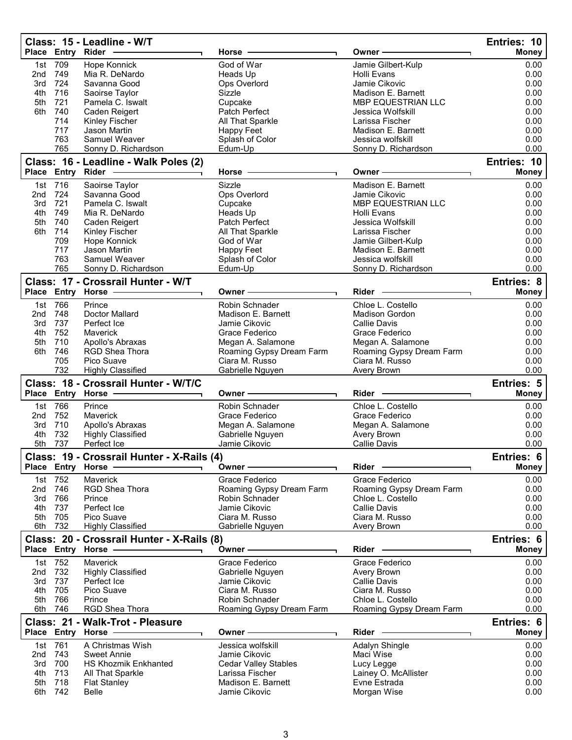|                 |                | Class: 15 - Leadline - W/T<br>Place Entry Rider - | Horse                                | Owner -                              | Entries: 10<br>Money |
|-----------------|----------------|---------------------------------------------------|--------------------------------------|--------------------------------------|----------------------|
|                 |                |                                                   |                                      |                                      |                      |
| 1st<br>2nd      | 709<br>749     | Hope Konnick<br>Mia R. DeNardo                    | God of War<br>Heads Up               | Jamie Gilbert-Kulp<br>Holli Evans    | 0.00<br>0.00         |
| 3rd             | 724            | Savanna Good                                      | Ops Overlord                         | Jamie Cikovic                        | 0.00                 |
| 4th             | 716            | Saoirse Taylor                                    | Sizzle                               | Madison E. Barnett                   | 0.00                 |
| 5th             | 721            | Pamela C. Iswalt                                  | Cupcake                              | <b>MBP EQUESTRIAN LLC</b>            | 0.00                 |
| 6th             | 740            | Caden Reigert                                     | Patch Perfect                        | Jessica Wolfskill                    | 0.00                 |
|                 | 714            | Kinley Fischer                                    | All That Sparkle                     | Larissa Fischer                      | 0.00                 |
|                 | 717            | Jason Martin                                      | Happy Feet                           | Madison E. Barnett                   | 0.00                 |
|                 | 763            | Samuel Weaver                                     | Splash of Color                      | Jessica wolfskill                    | 0.00                 |
|                 | 765            | Sonny D. Richardson                               | Edum-Up                              | Sonny D. Richardson                  | 0.00                 |
|                 |                | Class: 16 - Leadline - Walk Poles (2)             |                                      |                                      | Entries: 10          |
|                 |                | Place Entry Rider                                 | Horse -                              | Owner -                              | <b>Money</b>         |
|                 | 1st 716        | Saoirse Taylor                                    | Sizzle                               | Madison E. Barnett                   | 0.00                 |
| 2nd             | 724            | Savanna Good                                      | Ops Overlord                         | Jamie Cikovic                        | 0.00                 |
| 3rd             | 721            | Pamela C. Iswalt                                  | Cupcake                              | MBP EQUESTRIAN LLC                   | 0.00                 |
| 4th             | 749            | Mia R. DeNardo                                    | Heads Up                             | Holli Evans                          | 0.00                 |
| 5th             | 740            | Caden Reigert                                     | Patch Perfect                        | Jessica Wolfskill<br>Larissa Fischer | 0.00                 |
| 6th             | 714<br>709     | Kinley Fischer<br>Hope Konnick                    | All That Sparkle<br>God of War       | Jamie Gilbert-Kulp                   | 0.00<br>0.00         |
|                 | 717            | Jason Martin                                      | <b>Happy Feet</b>                    | Madison E. Barnett                   | 0.00                 |
|                 | 763            | Samuel Weaver                                     | Splash of Color                      | Jessica wolfskill                    | 0.00                 |
|                 | 765            | Sonny D. Richardson                               | Edum-Up                              | Sonny D. Richardson                  | 0.00                 |
|                 |                | Class: 17 - Crossrail Hunter - W/T                |                                      |                                      | Entries: 8           |
|                 |                | Place Entry Horse -                               | Owner -                              | Rider                                | Money                |
|                 |                |                                                   |                                      | Chloe L. Costello                    |                      |
| 2 <sub>nd</sub> | 1st 766<br>748 | Prince<br><b>Doctor Mallard</b>                   | Robin Schnader<br>Madison E. Barnett | <b>Madison Gordon</b>                | 0.00<br>0.00         |
| 3rd             | 737            | Perfect Ice                                       | Jamie Cikovic                        | <b>Callie Davis</b>                  | 0.00                 |
| 4th             | 752            | Maverick                                          | Grace Federico                       | Grace Federico                       | 0.00                 |
| 5th             | 710            | Apollo's Abraxas                                  | Megan A. Salamone                    | Megan A. Salamone                    | 0.00                 |
| 6th             | 746            | RGD Shea Thora                                    | Roaming Gypsy Dream Farm             | Roaming Gypsy Dream Farm             | 0.00                 |
|                 | 705            | Pico Suave                                        | Ciara M. Russo                       | Ciara M. Russo                       | 0.00                 |
|                 | 732            | <b>Highly Classified</b>                          | Gabrielle Nguyen                     | Avery Brown                          | 0.00                 |
|                 |                | Class: 18 - Crossrail Hunter - W/T/C              |                                      |                                      | Entries: 5           |
|                 |                | Place Entry Horse -                               | Owner-                               | <b>Rider</b>                         | <b>Money</b>         |
| 1st             | 766            | Prince                                            | Robin Schnader                       | Chloe L. Costello                    | 0.00                 |
| 2 <sub>nd</sub> | 752            | Maverick                                          | Grace Federico                       | Grace Federico                       | 0.00                 |
| 3rd             | 710            | Apollo's Abraxas                                  | Megan A. Salamone                    | Megan A. Salamone                    | 0.00                 |
| 4th             | 732            | <b>Highly Classified</b>                          | Gabrielle Nguyen                     | Avery Brown                          | 0.00                 |
| 5th             | 737            | Perfect Ice                                       | Jamie Cikovic                        | <b>Callie Davis</b>                  | 0.00                 |
|                 |                | Class: 19 - Crossrail Hunter - X-Rails (4)        |                                      |                                      | Entries: 6           |
|                 |                | Place Entry Horse                                 | Owner –                              | Rider                                | <b>Money</b>         |
|                 | 1st 752        | Maverick                                          | Grace Federico                       | Grace Federico                       | 0.00                 |
| 2 <sub>nd</sub> | 746            | RGD Shea Thora                                    | Roaming Gypsy Dream Farm             | Roaming Gypsy Dream Farm             | 0.00                 |
| 3rd             | 766            | Prince                                            | Robin Schnader                       | Chloe L. Costello                    | 0.00                 |
| 4th             | 737            | Perfect Ice                                       | Jamie Cikovic                        | <b>Callie Davis</b>                  | 0.00                 |
| 5th             | 705            | Pico Suave                                        | Ciara M. Russo                       | Ciara M. Russo                       | 0.00                 |
| 6th             | 732            | <b>Highly Classified</b>                          | Gabrielle Nguyen                     | Avery Brown                          | 0.00                 |
|                 |                | Class: 20 - Crossrail Hunter - X-Rails (8)        |                                      |                                      | Entries: 6           |
|                 |                | Place Entry Horse -                               | Owner-                               | $Rider$ –                            | Money                |
|                 | 1st 752        | <b>Maverick</b>                                   | Grace Federico                       | Grace Federico                       | 0.00                 |
| 2 <sub>nd</sub> | 732            | <b>Highly Classified</b>                          | Gabrielle Nguyen                     | Avery Brown                          | 0.00                 |
| 3rd             | 737            | Perfect Ice                                       | Jamie Cikovic                        | Callie Davis                         | 0.00                 |
| 4th             | 705            | Pico Suave                                        | Ciara M. Russo                       | Ciara M. Russo                       | 0.00                 |
| 5th             | 766            | Prince                                            | Robin Schnader                       | Chloe L. Costello                    | 0.00                 |
|                 | 6th 746        | RGD Shea Thora                                    | Roaming Gypsy Dream Farm             | Roaming Gypsy Dream Farm             | 0.00                 |
|                 |                | Class: 21 - Walk-Trot - Pleasure                  |                                      |                                      | Entries: 6           |
|                 |                | Place Entry Horse -                               | Owner -                              | Rider -                              | <b>Money</b>         |
|                 | 1st 761        | A Christmas Wish                                  | Jessica wolfskill                    | Adalyn Shingle                       | 0.00                 |
| 2 <sub>nd</sub> | 743            | <b>Sweet Annie</b>                                | Jamie Cikovic                        | Maci Wise                            | 0.00                 |
| 3rd             | 700            | <b>HS Khozmik Enkhanted</b>                       | <b>Cedar Valley Stables</b>          | Lucy Legge                           | 0.00                 |
| 4th             | 713            | All That Sparkle                                  | Larissa Fischer                      | Lainey O. McAllister                 | 0.00                 |
| 5th<br>6th      | 718<br>742     | <b>Flat Stanley</b><br>Belle                      | Madison E. Barnett<br>Jamie Cikovic  | Evne Estrada<br>Morgan Wise          | 0.00<br>0.00         |
|                 |                |                                                   |                                      |                                      |                      |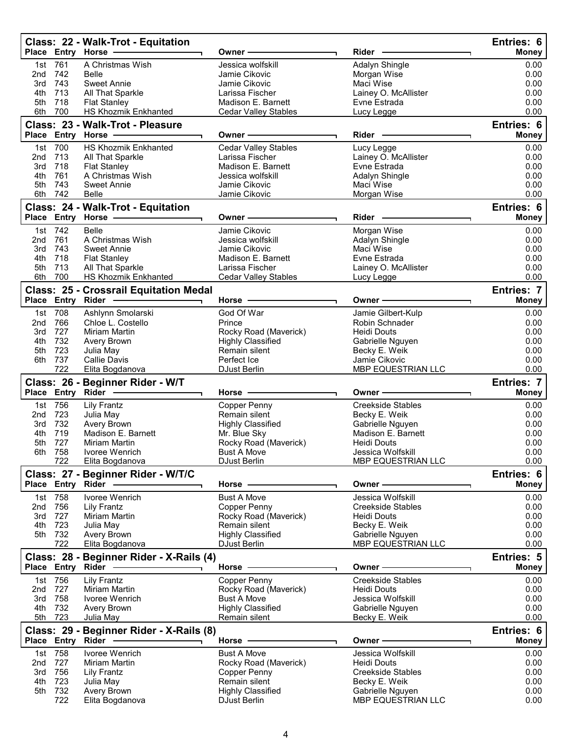|                 |                | Class: 22 - Walk-Trot - Equitation<br>Place Entry Horse              | Owner                                                                                                                                                                                                                          | Rider                                   | Entries: 6<br><b>Money</b> |
|-----------------|----------------|----------------------------------------------------------------------|--------------------------------------------------------------------------------------------------------------------------------------------------------------------------------------------------------------------------------|-----------------------------------------|----------------------------|
|                 | 1st 761        | A Christmas Wish                                                     | Jessica wolfskill                                                                                                                                                                                                              | Adalyn Shingle                          | 0.00                       |
| 2 <sub>nd</sub> | 742            | Belle                                                                | Jamie Cikovic                                                                                                                                                                                                                  | Morgan Wise                             | 0.00                       |
| 3rd             | 743            | <b>Sweet Annie</b>                                                   | Jamie Cikovic                                                                                                                                                                                                                  | Maci Wise                               | 0.00                       |
| 4th             | 713            | All That Sparkle                                                     | Larissa Fischer                                                                                                                                                                                                                | Lainey O. McAllister                    | 0.00                       |
| 5th             | 718            | <b>Flat Stanley</b>                                                  | Madison E. Barnett                                                                                                                                                                                                             | Evne Estrada                            | 0.00                       |
| 6th             | 700            | <b>HS Khozmik Enkhanted</b>                                          | <b>Cedar Valley Stables</b>                                                                                                                                                                                                    | Lucy Legge                              | 0.00                       |
|                 |                | Class: 23 - Walk-Trot - Pleasure                                     |                                                                                                                                                                                                                                |                                         | Entries: 6                 |
|                 |                | Place Entry Horse -                                                  | Owner-                                                                                                                                                                                                                         | Rider -                                 | Money                      |
|                 | 1st 700        | <b>HS Khozmik Enkhanted</b>                                          | <b>Cedar Valley Stables</b>                                                                                                                                                                                                    | Lucy Legge                              | 0.00                       |
| 2 <sub>nd</sub> | 713            | All That Sparkle                                                     | Larissa Fischer                                                                                                                                                                                                                | Lainey O. McAllister                    | 0.00                       |
| 3rd             | 718            | <b>Flat Stanley</b>                                                  | Madison E. Barnett                                                                                                                                                                                                             | Evne Estrada                            | 0.00                       |
| 4th             | 761            | A Christmas Wish                                                     | Jessica wolfskill                                                                                                                                                                                                              | Adalyn Shingle                          | 0.00                       |
| 5th<br>6th      | 743<br>742     | <b>Sweet Annie</b><br>Belle                                          | Jamie Cikovic<br>Jamie Cikovic                                                                                                                                                                                                 | Maci Wise                               | 0.00<br>0.00               |
|                 |                |                                                                      |                                                                                                                                                                                                                                | Morgan Wise                             |                            |
|                 |                | Class: 24 - Walk-Trot - Equitation<br>Place Entry Horse ------------ |                                                                                                                                                                                                                                | Rider -                                 | Entries: 6                 |
|                 |                |                                                                      | Owner -                                                                                                                                                                                                                        |                                         | <b>Money</b>               |
|                 | 1st 742        | <b>Belle</b>                                                         | Jamie Cikovic                                                                                                                                                                                                                  | Morgan Wise                             | 0.00                       |
| 2nd<br>3rd      | 761<br>743     | A Christmas Wish<br><b>Sweet Annie</b>                               | Jessica wolfskill<br>Jamie Cikovic                                                                                                                                                                                             | Adalyn Shingle<br>Maci Wise             | 0.00<br>0.00               |
| 4th             | 718            | <b>Flat Stanley</b>                                                  | Madison E. Barnett                                                                                                                                                                                                             | Evne Estrada                            | 0.00                       |
| 5th             | 713            | All That Sparkle                                                     | Larissa Fischer                                                                                                                                                                                                                | Lainey O. McAllister                    | 0.00                       |
| 6th             | 700            | HS Khozmik Enkhanted                                                 | <b>Cedar Valley Stables</b>                                                                                                                                                                                                    | Lucy Legge                              | 0.00                       |
|                 |                | <b>Class: 25 - Crossrail Equitation Medal</b>                        |                                                                                                                                                                                                                                |                                         | Entries: 7                 |
|                 |                | Place Entry Rider - 1                                                | Horse ·                                                                                                                                                                                                                        | Owner -                                 | <b>Money</b>               |
|                 | 1st 708        | Ashlynn Smolarski                                                    | God Of War                                                                                                                                                                                                                     | Jamie Gilbert-Kulp                      | 0.00                       |
| 2nd             | 766            | Chloe L. Costello                                                    | Prince                                                                                                                                                                                                                         | <b>Robin Schnader</b>                   | 0.00                       |
| 3rd             | 727            | Miriam Martin                                                        | Rocky Road (Maverick)                                                                                                                                                                                                          | <b>Heidi Douts</b>                      | 0.00                       |
| 4th             | 732            | Avery Brown                                                          | <b>Highly Classified</b>                                                                                                                                                                                                       | Gabrielle Nguyen                        | 0.00                       |
| 5th             | 723            | Julia May                                                            | Remain silent                                                                                                                                                                                                                  | Becky E. Weik                           | 0.00                       |
|                 | 6th 737<br>722 | <b>Callie Davis</b>                                                  | Perfect Ice                                                                                                                                                                                                                    | Jamie Cikovic                           | 0.00<br>0.00               |
|                 |                | Elita Bogdanova                                                      | DJust Berlin                                                                                                                                                                                                                   | MBP EQUESTRIAN LLC                      |                            |
|                 |                | Class: 26 - Beginner Rider - W/T<br>Place Entry Rider -------------  | Horse -                                                                                                                                                                                                                        | Owner -                                 | Entries: 7<br>Money        |
|                 | 1st 756        | Lily Frantz                                                          | Copper Penny                                                                                                                                                                                                                   | <b>Creekside Stables</b>                | 0.00                       |
| 2nd             | 723            | Julia May                                                            | Remain silent                                                                                                                                                                                                                  | Becky E. Weik                           | 0.00                       |
| 3rd             | 732            | Avery Brown                                                          | <b>Highly Classified</b>                                                                                                                                                                                                       | Gabrielle Nguyen                        | 0.00                       |
| 4th             | 719            | Madison E. Barnett                                                   | Mr. Blue Sky                                                                                                                                                                                                                   | Madison E. Barnett                      | 0.00                       |
| 5th             | 727            | Miriam Martin                                                        | Rocky Road (Maverick)                                                                                                                                                                                                          | Heidi Douts                             | 0.00                       |
| 6th             | 758<br>722     | Ivoree Wenrich<br>Elita Bogdanova                                    | Bust A Move<br><b>DJust Berlin</b>                                                                                                                                                                                             | Jessica Wolfskill<br>MBP EQUESTRIAN LLC | 0.00<br>0.00               |
|                 |                | Class: 27 - Beginner Rider - W/T/C                                   |                                                                                                                                                                                                                                |                                         | Entries: 6                 |
|                 |                | Place Entry Rider ------------                                       | Horse - The Management of the Management of the Management of the Management of the Management of the Management of the Management of the Management of the Management of the Management of the Management of the Management o | Owner - The Common Section 2014         | <b>Money</b>               |
|                 | 1st 758        | Ivoree Wenrich                                                       | <b>Bust A Move</b>                                                                                                                                                                                                             | Jessica Wolfskill                       | 0.00                       |
| 2 <sub>nd</sub> | 756            | <b>Lily Frantz</b>                                                   | Copper Penny                                                                                                                                                                                                                   | <b>Creekside Stables</b>                | 0.00                       |
| 3rd             | 727            | Miriam Martin                                                        | Rocky Road (Maverick)                                                                                                                                                                                                          | <b>Heidi Douts</b>                      | 0.00                       |
| 4th             | 723            | Julia May                                                            | Remain silent                                                                                                                                                                                                                  | Becky E. Weik                           | 0.00                       |
|                 | 5th 732        | Avery Brown                                                          | <b>Highly Classified</b>                                                                                                                                                                                                       | Gabrielle Nguyen                        | 0.00                       |
|                 | 722            | Elita Bogdanova                                                      | DJust Berlin                                                                                                                                                                                                                   | MBP EQUESTRIAN LLC                      | 0.00                       |
|                 |                | Class: 28 - Beginner Rider - X-Rails (4)                             | Horse -                                                                                                                                                                                                                        | Owner-                                  | Entries: 5<br>Money        |
|                 | 1st 756        | Lily Frantz                                                          | Copper Penny                                                                                                                                                                                                                   | <b>Creekside Stables</b>                | 0.00                       |
| 2nd             | 727            | Miriam Martin                                                        | Rocky Road (Maverick)                                                                                                                                                                                                          | <b>Heidi Douts</b>                      | 0.00                       |
|                 | 3rd 758        | Ivoree Wenrich                                                       | <b>Bust A Move</b>                                                                                                                                                                                                             | Jessica Wolfskill                       | 0.00                       |
| 4th             | 732            | Avery Brown                                                          | <b>Highly Classified</b>                                                                                                                                                                                                       | Gabrielle Nguyen                        | 0.00                       |
|                 | 5th 723        | Julia May                                                            | Remain silent                                                                                                                                                                                                                  | Becky E. Weik                           | 0.00                       |
|                 |                | Class: 29 - Beginner Rider - X-Rails (8)<br>Place Entry Rider -      | Horse $-$                                                                                                                                                                                                                      | Owner-                                  | Entries: 6<br><b>Money</b> |
|                 | 1st 758        | Ivoree Wenrich                                                       | <b>Bust A Move</b>                                                                                                                                                                                                             | Jessica Wolfskill                       | 0.00                       |
| 2nd             | 727            | Miriam Martin                                                        | Rocky Road (Maverick)                                                                                                                                                                                                          | <b>Heidi Douts</b>                      | 0.00                       |
| 3rd             | 756            | <b>Lily Frantz</b>                                                   | Copper Penny                                                                                                                                                                                                                   | <b>Creekside Stables</b>                | 0.00                       |
| 4th             | 723            | Julia May                                                            | Remain silent                                                                                                                                                                                                                  | Becky E. Weik                           | 0.00                       |
| 5th             | 732            | Avery Brown                                                          | <b>Highly Classified</b>                                                                                                                                                                                                       | Gabrielle Nguyen                        | 0.00                       |
|                 | 722            | Elita Bogdanova                                                      | <b>DJust Berlin</b>                                                                                                                                                                                                            | MBP EQUESTRIAN LLC                      | 0.00                       |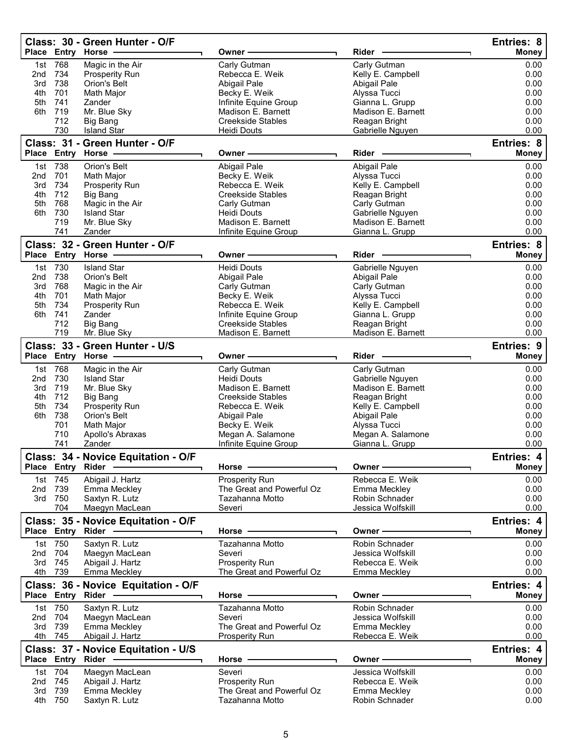|            |                   | Class: 30 - Green Hunter - O/F        |                                              |                                     | Entries: 8        |
|------------|-------------------|---------------------------------------|----------------------------------------------|-------------------------------------|-------------------|
|            |                   | Place Entry Horse                     | Owner-                                       | Rider                               | <b>Money</b>      |
| 1st        | 768               | Magic in the Air                      | Carly Gutman                                 | Carly Gutman                        | 0.00              |
| 2nd<br>3rd | 734<br>738        | <b>Prosperity Run</b><br>Orion's Belt | Rebecca E. Weik<br>Abigail Pale              | Kelly E. Campbell<br>Abigail Pale   | 0.00<br>0.00      |
| 4th        | 701               | Math Major                            | Becky E. Weik                                | Alyssa Tucci                        | 0.00              |
| 5th        | 741               | Zander                                | Infinite Equine Group                        | Gianna L. Grupp                     | 0.00              |
| 6th        | 719               | Mr. Blue Sky                          | Madison E. Barnett                           | Madison E. Barnett                  | 0.00              |
|            | 712               | <b>Big Bang</b>                       | <b>Creekside Stables</b>                     | Reagan Bright                       | 0.00              |
|            | 730               | <b>Island Star</b>                    | Heidi Douts                                  | Gabrielle Nguyen                    | 0.00              |
|            |                   | Class: 31 - Green Hunter - O/F        |                                              |                                     | Entries: 8        |
|            |                   | Place Entry Horse -                   | Owner –                                      | Rider                               | Money             |
| 1st        | 738               | Orion's Belt                          | Abigail Pale                                 | Abigail Pale                        | 0.00              |
| 2nd        | 701               | Math Major                            | Becky E. Weik                                | Alyssa Tucci                        | 0.00              |
| 3rd        | 734               | Prosperity Run                        | Rebecca E. Weik                              | Kelly E. Campbell                   | 0.00              |
| 4th<br>5th | 712<br>768        | Big Bang<br>Magic in the Air          | <b>Creekside Stables</b><br>Carly Gutman     | Reagan Bright<br>Carly Gutman       | 0.00<br>0.00      |
| 6th        | 730               | <b>Island Star</b>                    | <b>Heidi Douts</b>                           | Gabrielle Nguyen                    | 0.00              |
|            | 719               | Mr. Blue Sky                          | Madison E. Barnett                           | Madison E. Barnett                  | 0.00              |
|            | 741               | Zander                                | Infinite Equine Group                        | Gianna L. Grupp                     | 0.00              |
|            |                   | Class: 32 - Green Hunter - O/F        |                                              |                                     | Entries: 8        |
|            |                   | Place Entry Horse                     | Owner -                                      | Rider -                             | Money             |
| 1st        | 730               | <b>Island Star</b>                    | <b>Heidi Douts</b>                           | Gabrielle Nguyen                    | 0.00              |
| 2nd        | 738               | <b>Orion's Belt</b>                   | Abigail Pale                                 | Abigail Pale                        | 0.00              |
| 3rd        | 768               | Magic in the Air                      | Carly Gutman                                 | Carly Gutman                        | 0.00              |
| 4th        | 701               | Math Major                            | Becky E. Weik                                | Alyssa Tucci                        | 0.00              |
| 5th        | 734               | Prosperity Run                        | Rebecca E. Weik                              | Kelly E. Campbell                   | 0.00              |
| 6th        | 741               | Zander                                | Infinite Equine Group                        | Gianna L. Grupp                     | 0.00              |
|            | 712               | Big Bang                              | <b>Creekside Stables</b>                     | Reagan Bright                       | 0.00              |
|            | 719               | Mr. Blue Sky                          | Madison E. Barnett                           | Madison E. Barnett                  | 0.00              |
|            |                   | Class: 33 - Green Hunter - U/S        |                                              |                                     | <b>Entries: 9</b> |
|            |                   | Place Entry Horse                     | Owner -                                      | Rider                               | <b>Money</b>      |
|            | 1st 768           | Magic in the Air                      | Carly Gutman                                 | Carly Gutman                        | 0.00              |
| 2nd        | 730               | <b>Island Star</b>                    | Heidi Douts                                  | Gabrielle Nguyen                    | 0.00              |
| 3rd<br>4th | 719<br>712        | Mr. Blue Sky<br>Big Bang              | Madison E. Barnett<br>Creekside Stables      | Madison E. Barnett<br>Reagan Bright | 0.00<br>0.00      |
| 5th        | 734               | Prosperity Run                        | Rebecca E. Weik                              | Kelly E. Campbell                   | 0.00              |
| 6th        | 738               | Orion's Belt                          | Abigail Pale                                 | Abigail Pale                        | 0.00              |
|            | 701               | Math Major                            | Becky E. Weik                                | Alyssa Tucci                        | 0.00              |
|            | 710               | Apollo's Abraxas                      | Megan A. Salamone                            | Megan A. Salamone                   | 0.00              |
|            | 741               | Zander                                | Infinite Equine Group                        | Gianna L. Grupp                     | 0.00              |
|            |                   | Class: 34 - Novice Equitation - O/F   |                                              |                                     | Entries: 4        |
|            | Place Entry Rider |                                       | Horse -                                      | Owner -                             | <b>Money</b>      |
| 1st        | 745               | Abigail J. Hartz                      | Prosperity Run                               | Rebecca E. Weik                     | 0.00              |
| 2nd        | 739               | Emma Meckley                          | The Great and Powerful Oz                    | Emma Meckley                        | 0.00              |
| 3rd        | 750               | Saxtyn R. Lutz                        | Tazahanna Motto                              | <b>Robin Schnader</b>               | 0.00              |
|            | 704               | Maegyn MacLean                        | Severi                                       | Jessica Wolfskill                   | 0.00              |
|            |                   | Class: 35 - Novice Equitation - O/F   |                                              |                                     | Entries: 4        |
|            |                   | Place Entry Rider -                   | Horse ·                                      | Owner -                             | <b>Money</b>      |
|            | 1st 750           | Saxtyn R. Lutz                        | Tazahanna Motto                              | Robin Schnader                      | 0.00              |
| 2nd        | 704               | Maegyn MacLean                        | Severi                                       | Jessica Wolfskill                   | 0.00              |
| 3rd        | 745               | Abigail J. Hartz                      | Prosperity Run                               | Rebecca E. Weik                     | 0.00              |
| 4th        | 739               | Emma Meckley                          | The Great and Powerful Oz                    | Emma Meckley                        | 0.00              |
|            |                   | Class: 36 - Novice Equitation - O/F   |                                              |                                     | Entries: 4        |
|            | Place Entry Rider |                                       | Horse -                                      | Owner-                              | <b>Money</b>      |
| 1st        | 750               | Saxtyn R. Lutz                        | Tazahanna Motto                              | Robin Schnader                      | 0.00              |
| 2nd        | 704               | Maegyn MacLean                        | Severi                                       | Jessica Wolfskill                   | 0.00              |
| 3rd        | 739               | Emma Meckley                          | The Great and Powerful Oz                    | Emma Meckley                        | 0.00              |
|            | 4th 745           | Abigail J. Hartz                      | <b>Prosperity Run</b>                        | Rebecca E. Weik                     | 0.00              |
|            |                   | Class: 37 - Novice Equitation - U/S   |                                              |                                     | Entries: 4        |
|            |                   | Place Entry Rider -                   | Horse -                                      | Owner ·                             | <b>Money</b>      |
|            | 1st 704           | Maegyn MacLean                        | Severi                                       | Jessica Wolfskill                   | 0.00              |
| 2nd        | 745               | Abigail J. Hartz                      | Prosperity Run                               | Rebecca E. Weik                     | 0.00              |
| 3rd<br>4th | 739<br>750        | Emma Meckley<br>Saxtyn R. Lutz        | The Great and Powerful Oz<br>Tazahanna Motto | Emma Meckley<br>Robin Schnader      | 0.00<br>0.00      |
|            |                   |                                       |                                              |                                     |                   |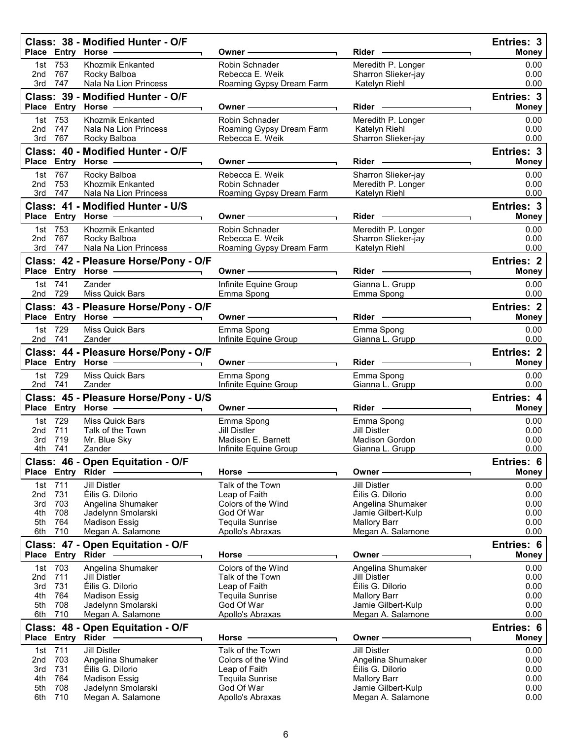|                        |                    | Class: 38 - Modified Hunter - O/F<br>Place Entry Horse -                                                      | Owner –                                     | Rider ————                                   | Entries: 3<br><b>Money</b> |
|------------------------|--------------------|---------------------------------------------------------------------------------------------------------------|---------------------------------------------|----------------------------------------------|----------------------------|
| 2nd                    | 1st 753<br>767     | Khozmik Enkanted<br>Rocky Balboa                                                                              | Robin Schnader<br>Rebecca E. Weik           | Meredith P. Longer<br>Sharron Slieker-jay    | 0.00<br>0.00               |
| 3rd                    | 747                | Nala Na Lion Princess                                                                                         | Roaming Gypsy Dream Farm                    | Katelyn Riehl                                | 0.00                       |
|                        |                    | Class: 39 - Modified Hunter - O/F                                                                             | Owner –                                     | Rider —                                      | Entries: 3<br><b>Money</b> |
|                        | 1st 753            | Khozmik Enkanted                                                                                              | Robin Schnader                              | Meredith P. Longer                           | 0.00                       |
| 2nd<br>3rd             | 747<br>767         | Nala Na Lion Princess<br>Rocky Balboa                                                                         | Roaming Gypsy Dream Farm<br>Rebecca E. Weik | Katelyn Riehl<br>Sharron Slieker-jay         | 0.00<br>0.00               |
|                        |                    | Class: 40 - Modified Hunter - O/F                                                                             |                                             |                                              | Entries: 3                 |
|                        |                    | Place Entry Horse -------------                                                                               | Owner —                                     | Rider —                                      | <b>Money</b>               |
|                        | 1st 767            | Rocky Balboa                                                                                                  | Rebecca E. Weik                             | Sharron Slieker-jay                          | 0.00                       |
| 2nd<br>3rd             | 753<br>747         | Khozmik Enkanted<br>Nala Na Lion Princess                                                                     | Robin Schnader<br>Roaming Gypsy Dream Farm  | Meredith P. Longer<br>Katelyn Riehl          | 0.00<br>0.00               |
|                        |                    | Class: 41 - Modified Hunter - U/S                                                                             |                                             |                                              | Entries: 3                 |
|                        |                    | Place Entry Horse ------------                                                                                | Owner -                                     | $Rider \nightharpoonup$                      | <b>Money</b>               |
|                        | 1st 753            | Khozmik Enkanted                                                                                              | Robin Schnader                              | Meredith P. Longer                           | 0.00                       |
|                        | 2nd 767<br>3rd 747 | Rocky Balboa<br>Nala Na Lion Princess                                                                         | Rebecca E. Weik<br>Roaming Gypsy Dream Farm | Sharron Slieker-jay<br>Katelyn Riehl         | 0.00<br>0.00               |
|                        |                    | Class: 42 - Pleasure Horse/Pony - O/F                                                                         |                                             |                                              | <b>Entries: 2</b>          |
|                        |                    | Place Entry Horse - The Control of the Control of The Control of The Control of The Control of The Control of | Owner —                                     | Rider -                                      | <b>Money</b>               |
|                        | 1st 741<br>2nd 729 | Zander<br><b>Miss Quick Bars</b>                                                                              | Infinite Equine Group<br>Emma Spong         | Gianna L. Grupp<br>Emma Spong                | 0.00<br>0.00               |
|                        |                    | Class: 43 - Pleasure Horse/Pony - O/F                                                                         |                                             |                                              | <b>Entries: 2</b>          |
|                        |                    | Place Entry Horse - The Control of the Control of Theorem and Theorem and Theorem                             | Owner —                                     | $Rider \nightharpoonup$                      | <b>Money</b>               |
|                        | 1st 729<br>2nd 741 | Miss Quick Bars<br>Zander                                                                                     | Emma Spong<br>Infinite Equine Group         | Emma Spong<br>Gianna L. Grupp                | 0.00<br>0.00               |
|                        |                    | Class: 44 - Pleasure Horse/Pony - O/F                                                                         |                                             |                                              | <b>Entries: 2</b>          |
|                        |                    | Place Entry Horse -                                                                                           | Owner —                                     | Rider —                                      | <b>Money</b>               |
|                        | 1st 729<br>2nd 741 | Miss Quick Bars<br>Zander                                                                                     | Emma Spong<br>Infinite Equine Group         | Emma Spong<br>Gianna L. Grupp                | 0.00<br>0.00               |
|                        |                    | Class: 45 - Pleasure Horse/Pony - U/S                                                                         |                                             |                                              | Entries: 4                 |
|                        |                    | Place Entry Horse -                                                                                           | Owner -                                     | $Rider \nightharpoonup$                      | <b>Money</b>               |
|                        | 1st 729            | Miss Quick Bars                                                                                               | Emma Spong<br><b>Jill Distler</b>           | Emma Spong                                   | 0.00                       |
| 2nd<br>3rd             | 711<br>719         | Talk of the Town<br>Mr. Blue Sky                                                                              | Madison E. Barnett                          | <b>Jill Distler</b><br><b>Madison Gordon</b> | 0.00<br>0.00               |
|                        | 4th 741            | Zander                                                                                                        | Infinite Equine Group                       | Gianna L. Grupp                              | 0.00                       |
|                        |                    | Class: 46 - Open Equitation - O/F                                                                             |                                             |                                              | Entries: 6                 |
|                        | Place Entry Rider  |                                                                                                               | Horse                                       | Owner                                        | <b>Money</b>               |
| 1st<br>2nd             | 711<br>731         | <b>Jill Distler</b><br>Éilis G. Dilorio                                                                       | Talk of the Town<br>Leap of Faith           | <b>Jill Distler</b><br>Éilis G. Dilorio      | 0.00<br>0.00               |
| 3rd                    | 703                | Angelina Shumaker                                                                                             | Colors of the Wind                          | Angelina Shumaker                            | 0.00                       |
| 4th<br>5th             | 708<br>764         | Jadelynn Smolarski<br><b>Madison Essig</b>                                                                    | God Of War<br><b>Tequila Sunrise</b>        | Jamie Gilbert-Kulp<br><b>Mallory Barr</b>    | 0.00<br>0.00               |
| 6th                    | 710                | Megan A. Salamone                                                                                             | Apollo's Abraxas                            | Megan A. Salamone                            | 0.00                       |
|                        |                    | Class: 47 - Open Equitation - O/F                                                                             |                                             |                                              | Entries: 6                 |
| <b>Place</b>           |                    | <b>Entry Rider</b>                                                                                            | Horse                                       | <b>Owner</b>                                 | Money                      |
| 1st<br>2nd             | 703<br>711         | Angelina Shumaker<br>Jill Distler                                                                             | Colors of the Wind<br>Talk of the Town      | Angelina Shumaker<br><b>Jill Distler</b>     | 0.00<br>0.00               |
| 3rd                    | 731                | Éilis G. Dilorio                                                                                              | Leap of Faith                               | Éilis G. Dilorio                             | 0.00                       |
| 4th                    | 764                | <b>Madison Essig</b>                                                                                          | <b>Tequila Sunrise</b>                      | <b>Mallory Barr</b>                          | 0.00                       |
| 5th<br>6th             | 708<br>710         | Jadelynn Smolarski<br>Megan A. Salamone                                                                       | God Of War<br>Apollo's Abraxas              | Jamie Gilbert-Kulp<br>Megan A. Salamone      | 0.00<br>0.00               |
|                        |                    | Class: 48 - Open Equitation - O/F                                                                             |                                             |                                              | Entries: 6                 |
|                        | Place Entry Rider  |                                                                                                               | Horse                                       | Owner -                                      | <b>Money</b>               |
| 1st                    | 711                | <b>Jill Distler</b>                                                                                           | Talk of the Town                            | <b>Jill Distler</b>                          | 0.00                       |
| 2 <sub>nd</sub><br>3rd | 703<br>731         | Angelina Shumaker<br>Éilis G. Dilorio                                                                         | Colors of the Wind<br>Leap of Faith         | Angelina Shumaker<br>Éilis G. Dilorio        | 0.00<br>0.00               |
| 4th                    | 764                | <b>Madison Essig</b>                                                                                          | <b>Tequila Sunrise</b>                      | <b>Mallory Barr</b>                          | 0.00                       |
| 5th<br>6th             | 708<br>710         | Jadelynn Smolarski<br>Megan A. Salamone                                                                       | God Of War<br>Apollo's Abraxas              | Jamie Gilbert-Kulp<br>Megan A. Salamone      | 0.00<br>0.00               |
|                        |                    |                                                                                                               |                                             |                                              |                            |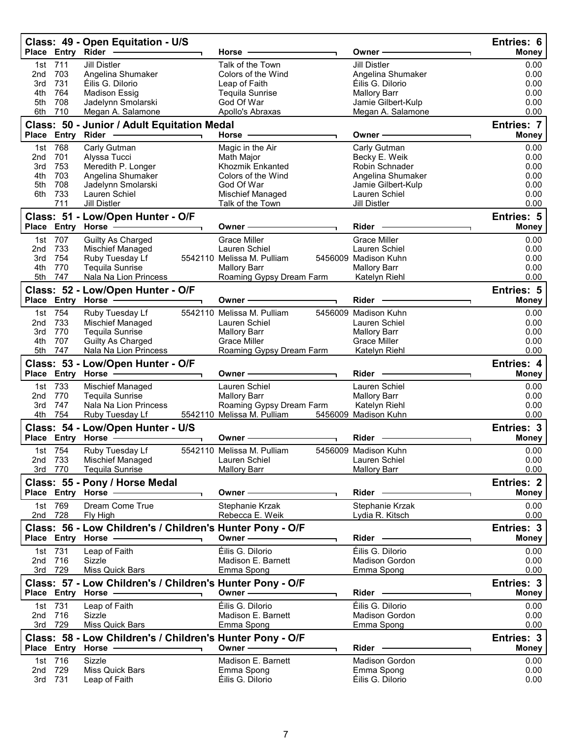|            |                    | Class: 49 - Open Equitation - U/S<br>Place Entry Rider                           | Horse                                                | Owner -                                                 | Entries: 6<br><b>Money</b> |
|------------|--------------------|----------------------------------------------------------------------------------|------------------------------------------------------|---------------------------------------------------------|----------------------------|
| 1st        | 711                | <b>Jill Distler</b>                                                              | Talk of the Town                                     | <b>Jill Distler</b>                                     | 0.00                       |
| 2nd        | 703                | Angelina Shumaker                                                                | Colors of the Wind                                   | Angelina Shumaker                                       | 0.00                       |
| 3rd<br>4th | 731<br>764         | Éilis G. Dilorio<br><b>Madison Essig</b>                                         | Leap of Faith<br><b>Tequila Sunrise</b>              | Éilis G. Dilorio<br><b>Mallory Barr</b>                 | 0.00<br>0.00               |
| 5th        | 708                | Jadelynn Smolarski                                                               | God Of War                                           | Jamie Gilbert-Kulp                                      | 0.00                       |
| 6th        | 710                | Megan A. Salamone                                                                | Apollo's Abraxas                                     | Megan A. Salamone                                       | 0.00                       |
|            |                    | Class: 50 - Junior / Adult Equitation Medal                                      |                                                      |                                                         | <b>Entries: 7</b>          |
|            | Place Entry Rider  |                                                                                  | Horse $-$                                            | Owner-                                                  | <b>Money</b>               |
| 1st        | 768                | Carly Gutman                                                                     | Magic in the Air                                     | Carly Gutman                                            | 0.00                       |
| 2nd<br>3rd | 701<br>753         | Alyssa Tucci<br>Meredith P. Longer                                               | Math Major<br>Khozmik Enkanted                       | Becky E. Weik<br>Robin Schnader                         | 0.00<br>0.00               |
| 4th        | 703                | Angelina Shumaker                                                                | Colors of the Wind                                   | Angelina Shumaker                                       | 0.00                       |
| 5th        | 708                | Jadelynn Smolarski                                                               | God Of War                                           | Jamie Gilbert-Kulp                                      | 0.00                       |
| 6th        | 733<br>711         | Lauren Schiel<br><b>Jill Distler</b>                                             | Mischief Managed<br>Talk of the Town                 | Lauren Schiel<br><b>Jill Distler</b>                    | 0.00<br>0.00               |
|            |                    |                                                                                  |                                                      |                                                         | Entries: 5                 |
|            |                    | Class: 51 - Low/Open Hunter - O/F<br>Place Entry Horse -                         | Owner-                                               | Rider                                                   | <b>Money</b>               |
| 1st        | 707                | <b>Guilty As Charged</b>                                                         | <b>Grace Miller</b>                                  | <b>Grace Miller</b>                                     | 0.00                       |
| 2nd        | 733                | Mischief Managed                                                                 | Lauren Schiel                                        | Lauren Schiel                                           | 0.00                       |
| 3rd        | 754                | Ruby Tuesday Lf                                                                  | 5542110 Melissa M. Pulliam                           | 5456009 Madison Kuhn                                    | 0.00                       |
| 4th<br>5th | 770<br>747         | <b>Tequila Sunrise</b><br>Nala Na Lion Princess                                  | <b>Mallory Barr</b><br>Roaming Gypsy Dream Farm      | <b>Mallory Barr</b><br>Katelyn Riehl                    | 0.00<br>0.00               |
|            |                    |                                                                                  |                                                      |                                                         | Entries: 5                 |
|            |                    | Class: 52 - Low/Open Hunter - O/F<br>Place Entry Horse -------------             | Owner -                                              | Rider                                                   | <b>Money</b>               |
|            | 1st 754            | Ruby Tuesday Lf                                                                  | 5542110 Melissa M. Pulliam                           | 5456009 Madison Kuhn                                    | 0.00                       |
| 2nd        | 733                | Mischief Managed                                                                 | Lauren Schiel                                        | Lauren Schiel                                           | 0.00                       |
| 3rd        | 770                | <b>Tequila Sunrise</b>                                                           | <b>Mallory Barr</b>                                  | <b>Mallory Barr</b>                                     | 0.00                       |
| 4th<br>5th | 707<br>747         | Guilty As Charged<br>Nala Na Lion Princess                                       | Grace Miller                                         | <b>Grace Miller</b>                                     | 0.00<br>0.00               |
|            |                    |                                                                                  | Roaming Gypsy Dream Farm                             | Katelyn Riehl                                           |                            |
|            |                    | Class: 53 - Low/Open Hunter - O/F                                                | Owner -                                              | Rider -                                                 | Entries: 4<br><b>Money</b> |
|            | 1st 733            | Mischief Managed                                                                 | Lauren Schiel                                        | Lauren Schiel                                           | 0.00                       |
| 2nd        | 770                | <b>Tequila Sunrise</b>                                                           | <b>Mallory Barr</b>                                  | <b>Mallory Barr</b>                                     | 0.00                       |
| 3rd        | 747                | Nala Na Lion Princess                                                            | Roaming Gypsy Dream Farm                             | Katelyn Riehl                                           | 0.00                       |
| 4th        | 754                | Ruby Tuesday Lf                                                                  | 5542110 Melissa M. Pulliam                           | 5456009 Madison Kuhn                                    | 0.00                       |
|            |                    | Class: 54 - Low/Open Hunter - U/S<br>Place Entry Horse -------------<br>┑        | Owner-                                               | Rider                                                   | Entries: 3<br><b>Money</b> |
|            | 1st 754            |                                                                                  | 5542110 Melissa M. Pulliam                           | 5456009 Madison Kuhn                                    | 0.00                       |
| 2nd        | 733                | Ruby Tuesday Lf<br>Mischief Managed                                              | Lauren Schiel                                        | Lauren Schiel                                           | 0.00                       |
|            | 3rd 770            | <b>Tequila Sunrise</b>                                                           | <b>Mallory Barr</b>                                  | <b>Mallory Barr</b>                                     | 0.00                       |
|            |                    | Class: 55 - Pony / Horse Medal                                                   |                                                      |                                                         | Entries: 2                 |
|            |                    | Place Entry Horse -                                                              | Owner-                                               | Rider -                                                 | <b>Money</b>               |
|            | 1st 769<br>2nd 728 | Dream Come True<br>Fly High                                                      | Stephanie Krzak<br>Rebecca E. Weik                   | Stephanie Krzak<br>Lydia R. Kitsch                      | 0.00<br>0.00               |
|            |                    | Class: 56 - Low Children's / Children's Hunter Pony - O/F                        |                                                      |                                                         | Entries: 3                 |
|            |                    | Place Entry Horse -                                                              | Owner -                                              | Rider -                                                 | <b>Money</b>               |
|            | 1st 731            | Leap of Faith                                                                    | Éilis G. Dilorio                                     | Éilis G. Dilorio                                        | 0.00                       |
| 2nd        | 716                | Sizzle                                                                           | Madison E. Barnett                                   | <b>Madison Gordon</b>                                   | 0.00                       |
|            | 3rd 729            | Miss Quick Bars                                                                  | Emma Spong                                           | Emma Spong                                              | 0.00                       |
|            |                    | Class: 57 - Low Children's / Children's Hunter Pony - O/F<br>Place Entry Horse   | Owner —                                              | Rider -                                                 | Entries: 3<br>Money        |
|            | 1st 731            | Leap of Faith                                                                    | Éilis G. Dilorio                                     | Éilis G. Dilorio                                        | 0.00                       |
|            | 2nd 716            | Sizzle                                                                           | Madison E. Barnett                                   | <b>Madison Gordon</b>                                   | 0.00                       |
|            | 3rd 729            | Miss Quick Bars                                                                  | Emma Spong                                           | Emma Spong                                              | 0.00                       |
|            |                    | Class: 58 - Low Children's / Children's Hunter Pony - O/F<br>Place Entry Horse - | Owner —                                              | Rider                                                   | Entries: 3<br><b>Money</b> |
|            |                    |                                                                                  |                                                      |                                                         |                            |
|            |                    |                                                                                  |                                                      |                                                         |                            |
| 2nd        | 1st 716<br>729     | Sizzle<br>Miss Quick Bars<br>Leap of Faith                                       | Madison E. Barnett<br>Emma Spong<br>Éilis G. Dilorio | <b>Madison Gordon</b><br>Emma Spong<br>Éilis G. Dilorio | 0.00<br>0.00               |